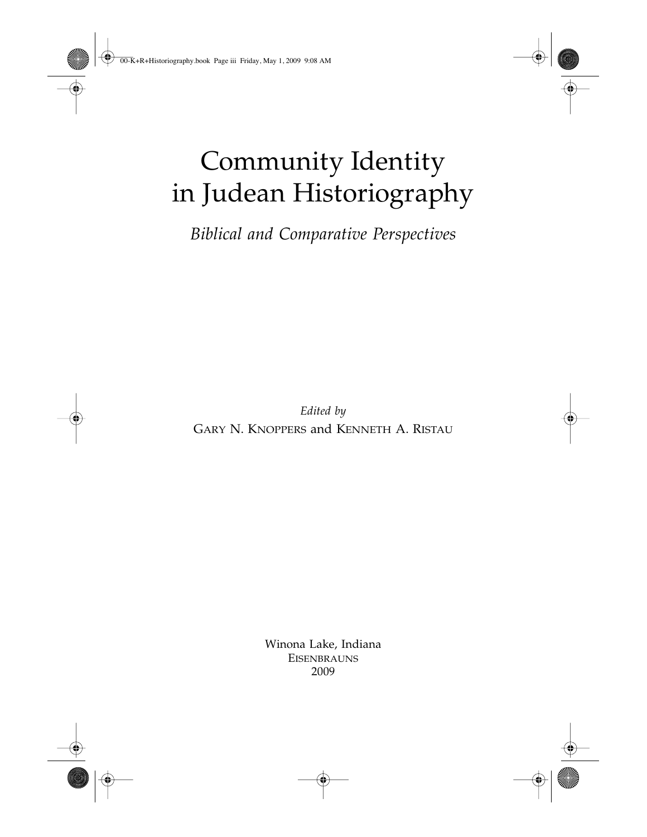# Community Identity in Judean Historiography

*Biblical and Comparative Perspectives*

*Edited by* Gary N. Knoppers and Kenneth A. Ristau

> Winona Lake, Indiana **EISENBRAUNS** 2009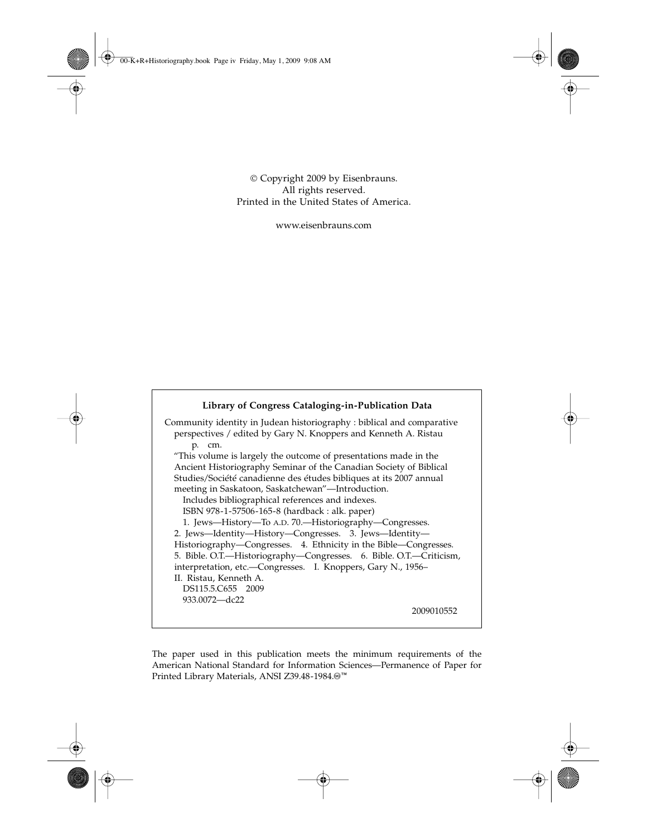ç Copyright 2009 by Eisenbrauns. All rights reserved. Printed in the United States of America.

www.eisenbrauns.com

#### **Library of Congress Cataloging-in-Publication Data** Community identity in Judean historiography : biblical and comparative perspectives / edited by Gary N. Knoppers and Kenneth A. Ristau p. cm. "This volume is largely the outcome of presentations made in the Ancient Historiography Seminar of the Canadian Society of Biblical Studies/Société canadienne des études bibliques at its 2007 annual meeting in Saskatoon, Saskatchewan"—Introduction. Includes bibliographical references and indexes. ISBN 978-1-57506-165-8 (hardback : alk. paper) 1. Jews-History-To A.D. 70.-Historiography-Congresses. 2. Jews—Identity—History—Congresses. 3. Jews—Identity— Historiography—Congresses. 4. Ethnicity in the Bible—Congresses. 5. Bible. O.T.—Historiography—Congresses. 6. Bible. O.T.—Criticism, interpretation, etc.—Congresses. I. Knoppers, Gary N., 1956– II. Ristau, Kenneth A. DS115.5.C655 2009 933.0072—dc22 2009010552

The paper used in this publication meets the minimum requirements of the American National Standard for Information Sciences—Permanence of Paper for Printed Library Materials, ANSI Z39.48-1984.®<sup>™</sup>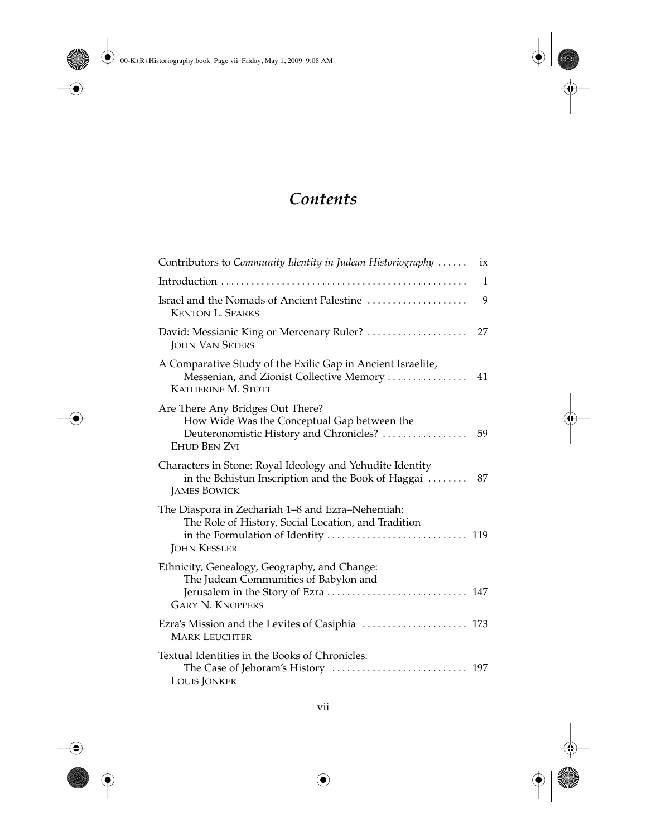# *Contents*

| Contributors to Community Identity in Judean Historiography $\ldots \ldots$                                                                       | ix           |
|---------------------------------------------------------------------------------------------------------------------------------------------------|--------------|
|                                                                                                                                                   | $\mathbf{1}$ |
| Israel and the Nomads of Ancient Palestine<br><b>KENTON L. SPARKS</b>                                                                             | 9            |
| David: Messianic King or Mercenary Ruler?<br><b>JOHN VAN SETERS</b>                                                                               | 27           |
| A Comparative Study of the Exilic Gap in Ancient Israelite,<br>Messenian, and Zionist Collective Memory<br>KATHERINE M. STOTT                     | 41           |
| Are There Any Bridges Out There?<br>How Wide Was the Conceptual Gap between the<br>Deuteronomistic History and Chronicles?<br><b>EHUD BEN ZVI</b> | 59           |
| Characters in Stone: Royal Ideology and Yehudite Identity<br>in the Behistun Inscription and the Book of Haggai<br><b>JAMES BOWICK</b>            | 87           |
| The Diaspora in Zechariah 1-8 and Ezra-Nehemiah:<br>The Role of History, Social Location, and Tradition<br><b>JOHN KESSLER</b>                    |              |
| Ethnicity, Genealogy, Geography, and Change:<br>The Judean Communities of Babylon and<br><b>GARY N. KNOPPERS</b>                                  |              |
| Ezra's Mission and the Levites of Casiphia  173<br><b>MARK LEUCHTER</b>                                                                           |              |
| Textual Identities in the Books of Chronicles:<br><b>LOUIS JONKER</b>                                                                             |              |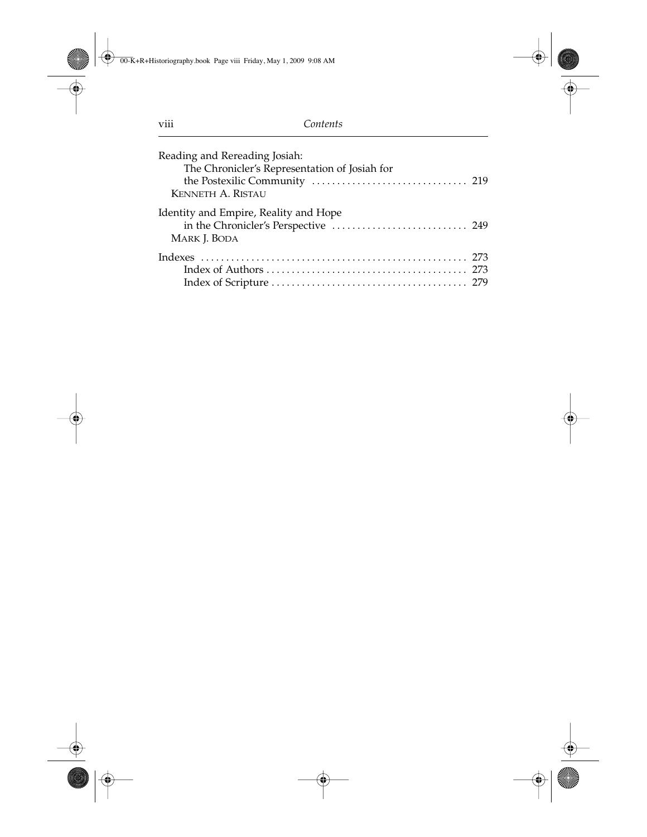| Reading and Rereading Josiah:<br>The Chronicler's Representation of Josiah for<br><b>KENNETH A. RISTAU</b> |  |
|------------------------------------------------------------------------------------------------------------|--|
| Identity and Empire, Reality and Hope<br>Mark J. Boda                                                      |  |
|                                                                                                            |  |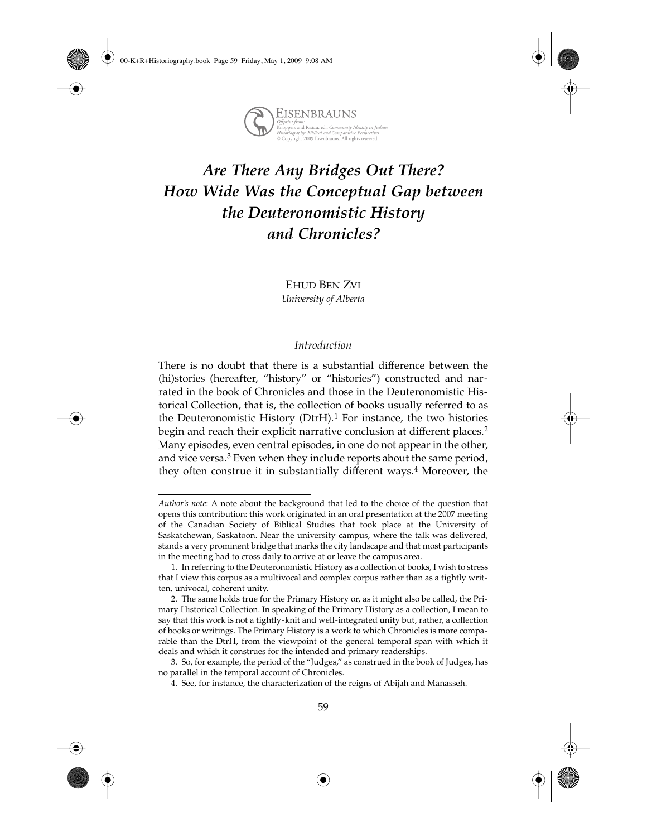

# *Are There Any Bridges Out There? How Wide Was the Conceptual Gap between the Deuteronomistic History and Chronicles?*

Ehud Ben Zvi *University of Alberta*

### *Introduction*

There is no doubt that there is a substantial difference between the (hi)stories (hereafter, "history" or "histories") constructed and narrated in the book of Chronicles and those in the Deuteronomistic Historical Collection, that is, the collection of books usually referred to as the Deuteronomistic History  $(DtrH)<sup>1</sup>$  For instance, the two histories begin and reach their explicit narrative conclusion at different places.<sup>2</sup> Many episodes, even central episodes, in one do not appear in the other, and vice versa.<sup>3</sup> Even when they include reports about the same period, they often construe it in substantially different ways.<sup>4</sup> Moreover, the

*Author's note*: A note about the background that led to the choice of the question that opens this contribution: this work originated in an oral presentation at the 2007 meeting of the Canadian Society of Biblical Studies that took place at the University of Saskatchewan, Saskatoon. Near the university campus, where the talk was delivered, stands a very prominent bridge that marks the city landscape and that most participants in the meeting had to cross daily to arrive at or leave the campus area.

<sup>1.</sup> In referring to the Deuteronomistic History as a collection of books, I wish to stress that I view this corpus as a multivocal and complex corpus rather than as a tightly written, univocal, coherent unity.

<sup>2.</sup> The same holds true for the Primary History or, as it might also be called, the Primary Historical Collection. In speaking of the Primary History as a collection, I mean to say that this work is not a tightly-knit and well-integrated unity but, rather, a collection of books or writings. The Primary History is a work to which Chronicles is more comparable than the DtrH, from the viewpoint of the general temporal span with which it deals and which it construes for the intended and primary readerships.

<sup>3.</sup> So, for example, the period of the "Judges," as construed in the book of Judges, has no parallel in the temporal account of Chronicles.

<sup>4.</sup> See, for instance, the characterization of the reigns of Abijah and Manasseh.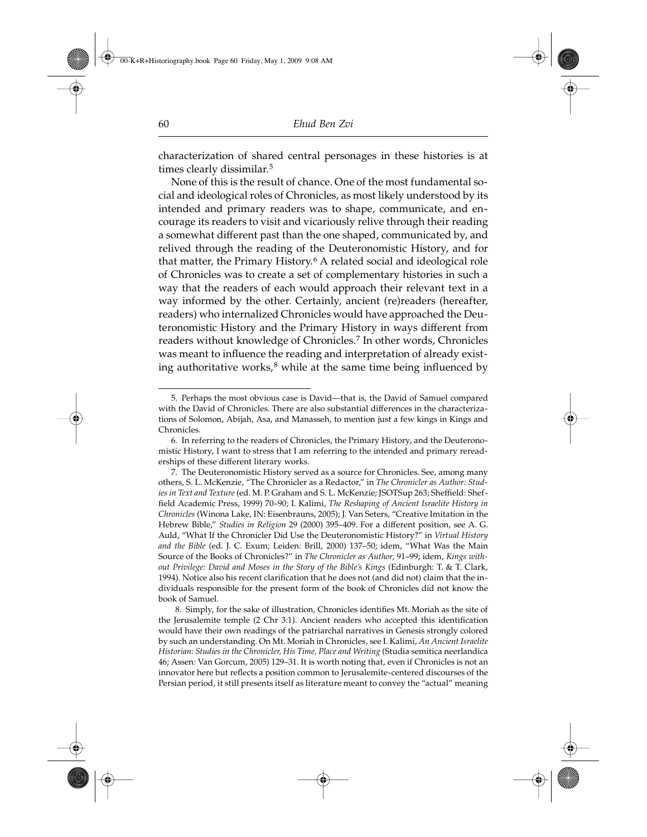characterization of shared central personages in these histories is at times clearly dissimilar.<sup>5</sup>

None of this is the result of chance. One of the most fundamental social and ideological roles of Chronicles, as most likely understood by its intended and primary readers was to shape, communicate, and encourage its readers to visit and vicariously relive through their reading a somewhat different past than the one shaped, communicated by, and relived through the reading of the Deuteronomistic History, and for that matter, the Primary History.6 A related social and ideological role of Chronicles was to create a set of complementary histories in such a way that the readers of each would approach their relevant text in a way informed by the other. Certainly, ancient (re)readers (hereafter, readers) who internalized Chronicles would have approached the Deuteronomistic History and the Primary History in ways different from readers without knowledge of Chronicles.7 In other words, Chronicles was meant to influence the reading and interpretation of already existing authoritative works, $8$  while at the same time being influenced by

<sup>5.</sup> Perhaps the most obvious case is David—that is, the David of Samuel compared with the David of Chronicles. There are also substantial differences in the characterizations of Solomon, Abijah, Asa, and Manasseh, to mention just a few kings in Kings and Chronicles.

<sup>6.</sup> In referring to the readers of Chronicles, the Primary History, and the Deuteronomistic History, I want to stress that I am referring to the intended and primary rereaderships of these different literary works.

<sup>7.</sup> The Deuteronomistic History served as a source for Chronicles. See, among many others, S. L. McKenzie, "The Chronicler as a Redactor," in *The Chronicler as Author: Studies in Text and Texture* (ed. M. P. Graham and S. L. McKenzie; JSOTSup 263; Sheffield: Sheffield Academic Press, 1999) 70–90; I. Kalimi, *The Reshaping of Ancient Israelite History in Chronicles* (Winona Lake, IN: Eisenbrauns, 2005); J. Van Seters, "Creative Imitation in the Hebrew Bible," *Studies in Religion* 29 (2000) 395–409. For a different position, see A. G. Auld, "What If the Chronicler Did Use the Deuteronomistic History?" in *Virtual History and the Bible* (ed. J. C. Exum; Leiden: Brill, 2000) 137–50; idem, "What Was the Main Source of the Books of Chronicles?" in *The Chronicler as Author*, 91–99; idem, *Kings without Privilege: David and Moses in the Story of the Bible's Kings* (Edinburgh: T. & T. Clark, 1994). Notice also his recent clarification that he does not (and did not) claim that the individuals responsible for the present form of the book of Chronicles did not know the book of Samuel.

<sup>8.</sup> Simply, for the sake of illustration, Chronicles identifies Mt. Moriah as the site of the Jerusalemite temple (2 Chr 3:1). Ancient readers who accepted this identification would have their own readings of the patriarchal narratives in Genesis strongly colored by such an understanding. On Mt. Moriah in Chronicles, see I. Kalimi, *An Ancient Israelite Historian: Studies in the Chronicler, His Time, Place and Writing* (Studia semitica neerlandica 46; Assen: Van Gorcum, 2005) 129–31. It is worth noting that, even if Chronicles is not an innovator here but reflects a position common to Jerusalemite-centered discourses of the Persian period, it still presents itself as literature meant to convey the "actual" meaning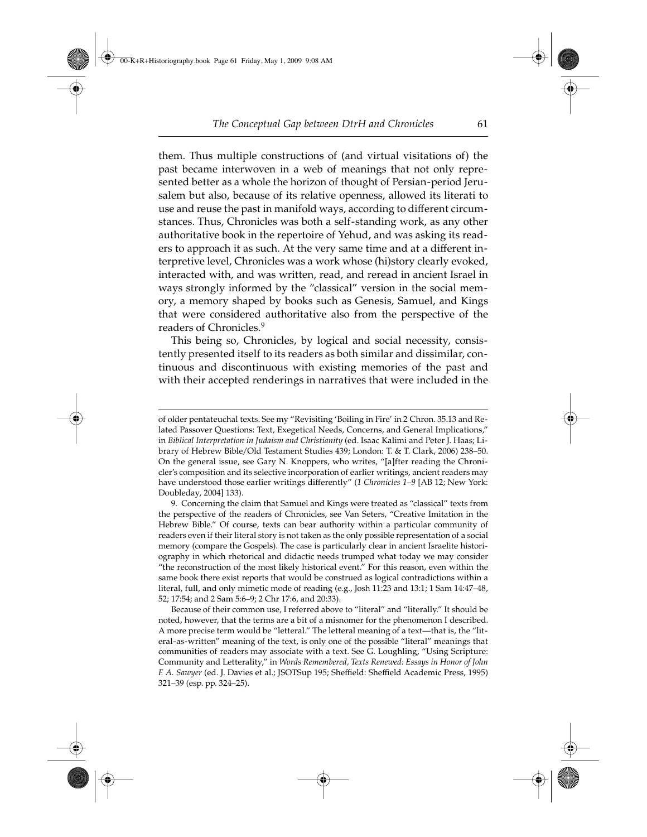them. Thus multiple constructions of (and virtual visitations of) the past became interwoven in a web of meanings that not only represented better as a whole the horizon of thought of Persian-period Jerusalem but also, because of its relative openness, allowed its literati to use and reuse the past in manifold ways, according to different circumstances. Thus, Chronicles was both a self-standing work, as any other authoritative book in the repertoire of Yehud, and was asking its readers to approach it as such. At the very same time and at a different interpretive level, Chronicles was a work whose (hi)story clearly evoked, interacted with, and was written, read, and reread in ancient Israel in ways strongly informed by the "classical" version in the social memory, a memory shaped by books such as Genesis, Samuel, and Kings that were considered authoritative also from the perspective of the readers of Chronicles.<sup>9</sup>

This being so, Chronicles, by logical and social necessity, consistently presented itself to its readers as both similar and dissimilar, continuous and discontinuous with existing memories of the past and with their accepted renderings in narratives that were included in the

9. Concerning the claim that Samuel and Kings were treated as "classical" texts from the perspective of the readers of Chronicles, see Van Seters, "Creative Imitation in the Hebrew Bible." Of course, texts can bear authority within a particular community of readers even if their literal story is not taken as the only possible representation of a social memory (compare the Gospels). The case is particularly clear in ancient Israelite historiography in which rhetorical and didactic needs trumped what today we may consider "the reconstruction of the most likely historical event." For this reason, even within the same book there exist reports that would be construed as logical contradictions within a literal, full, and only mimetic mode of reading (e.g., Josh 11:23 and 13:1; 1 Sam 14:47-48, 52; 17:54; and 2 Sam 5:6–9; 2 Chr 17:6, and 20:33).

Because of their common use, I referred above to "literal" and "literally." It should be noted, however, that the terms are a bit of a misnomer for the phenomenon I described. A more precise term would be "letteral." The letteral meaning of a text—that is, the "literal-as-written" meaning of the text, is only one of the possible "literal" meanings that communities of readers may associate with a text. See G. Loughling, "Using Scripture: Community and Letterality," in *Words Remembered, Texts Renewed: Essays in Honor of John F. A. Sawyer* (ed. J. Davies et al.; JSOTSup 195; Sheffield: Sheffield Academic Press, 1995) 321–39 (esp. pp. 324–25).

of older pentateuchal texts. See my "Revisiting 'Boiling in Fire' in 2 Chron. 35.13 and Related Passover Questions: Text, Exegetical Needs, Concerns, and General Implications," in *Biblical Interpretation in Judaism and Christianity* (ed. Isaac Kalimi and Peter J. Haas; Library of Hebrew Bible/Old Testament Studies 439; London: T. & T. Clark, 2006) 238–50. On the general issue, see Gary N. Knoppers, who writes, "[a]fter reading the Chronicler's composition and its selective incorporation of earlier writings, ancient readers may have understood those earlier writings differently" (*1 Chronicles 1–9* [AB 12; New York: Doubleday, 2004] 133).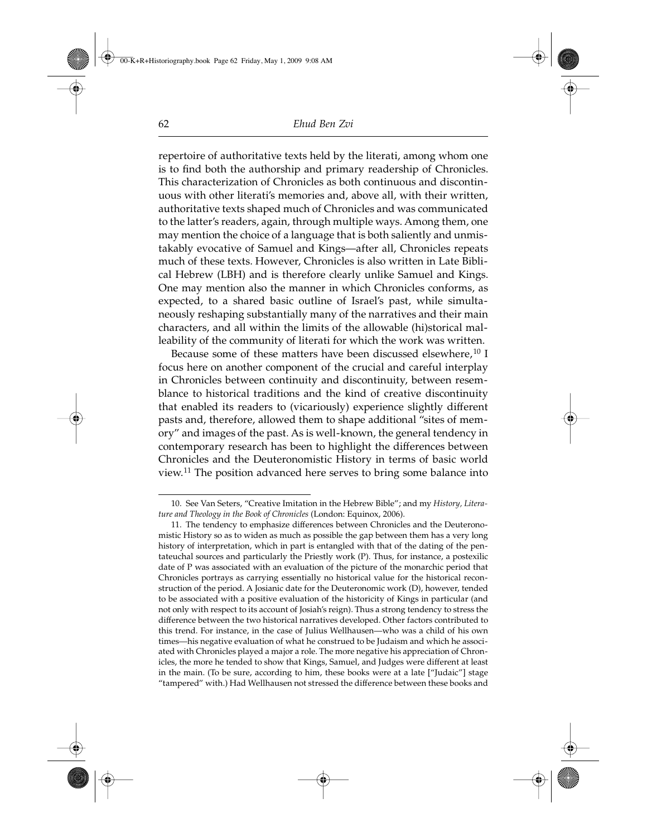repertoire of authoritative texts held by the literati, among whom one is to find both the authorship and primary readership of Chronicles. This characterization of Chronicles as both continuous and discontinuous with other literati's memories and, above all, with their written, authoritative texts shaped much of Chronicles and was communicated to the latter's readers, again, through multiple ways. Among them, one may mention the choice of a language that is both saliently and unmistakably evocative of Samuel and Kings—after all, Chronicles repeats much of these texts. However, Chronicles is also written in Late Biblical Hebrew (LBH) and is therefore clearly unlike Samuel and Kings. One may mention also the manner in which Chronicles conforms, as expected, to a shared basic outline of Israel's past, while simultaneously reshaping substantially many of the narratives and their main characters, and all within the limits of the allowable (hi)storical malleability of the community of literati for which the work was written.

Because some of these matters have been discussed elsewhere,<sup>10</sup> I focus here on another component of the crucial and careful interplay in Chronicles between continuity and discontinuity, between resemblance to historical traditions and the kind of creative discontinuity that enabled its readers to (vicariously) experience slightly different pasts and, therefore, allowed them to shape additional "sites of memory" and images of the past. As is well-known, the general tendency in contemporary research has been to highlight the differences between Chronicles and the Deuteronomistic History in terms of basic world view.11 The position advanced here serves to bring some balance into

<sup>10.</sup> See Van Seters, "Creative Imitation in the Hebrew Bible"; and my *History, Literature and Theology in the Book of Chronicles* (London: Equinox, 2006).

<sup>11.</sup> The tendency to emphasize differences between Chronicles and the Deuteronomistic History so as to widen as much as possible the gap between them has a very long history of interpretation, which in part is entangled with that of the dating of the pentateuchal sources and particularly the Priestly work (P). Thus, for instance, a postexilic date of P was associated with an evaluation of the picture of the monarchic period that Chronicles portrays as carrying essentially no historical value for the historical reconstruction of the period. A Josianic date for the Deuteronomic work (D), however, tended to be associated with a positive evaluation of the historicity of Kings in particular (and not only with respect to its account of Josiah's reign). Thus a strong tendency to stress the difference between the two historical narratives developed. Other factors contributed to this trend. For instance, in the case of Julius Wellhausen—who was a child of his own times—his negative evaluation of what he construed to be Judaism and which he associated with Chronicles played a major a role. The more negative his appreciation of Chronicles, the more he tended to show that Kings, Samuel, and Judges were different at least in the main. (To be sure, according to him, these books were at a late ["Judaic"] stage "tampered" with.) Had Wellhausen not stressed the difference between these books and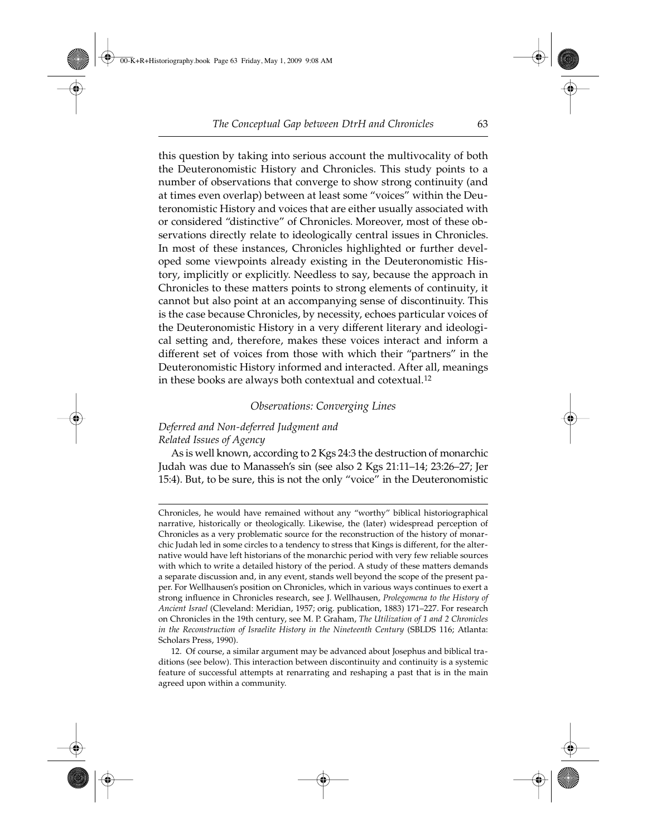this question by taking into serious account the multivocality of both the Deuteronomistic History and Chronicles. This study points to a number of observations that converge to show strong continuity (and at times even overlap) between at least some "voices" within the Deuteronomistic History and voices that are either usually associated with or considered "distinctive" of Chronicles. Moreover, most of these observations directly relate to ideologically central issues in Chronicles. In most of these instances, Chronicles highlighted or further developed some viewpoints already existing in the Deuteronomistic History, implicitly or explicitly. Needless to say, because the approach in Chronicles to these matters points to strong elements of continuity, it cannot but also point at an accompanying sense of discontinuity. This is the case because Chronicles, by necessity, echoes particular voices of the Deuteronomistic History in a very different literary and ideological setting and, therefore, makes these voices interact and inform a different set of voices from those with which their "partners" in the Deuteronomistic History informed and interacted. After all, meanings in these books are always both contextual and cotextual.12

#### *Observations: Converging Lines*

# *Deferred and Non-deferred Judgment and Related Issues of Agency*

As is well known, according to 2 Kgs 24:3 the destruction of monarchic Judah was due to Manasseh's sin (see also 2 Kgs 21:11–14; 23:26–27; Jer 15:4). But, to be sure, this is not the only "voice" in the Deuteronomistic

Chronicles, he would have remained without any "worthy" biblical historiographical narrative, historically or theologically. Likewise, the (later) widespread perception of Chronicles as a very problematic source for the reconstruction of the history of monarchic Judah led in some circles to a tendency to stress that Kings is different, for the alternative would have left historians of the monarchic period with very few reliable sources with which to write a detailed history of the period. A study of these matters demands a separate discussion and, in any event, stands well beyond the scope of the present paper. For Wellhausen's position on Chronicles, which in various ways continues to exert a strong influence in Chronicles research, see J. Wellhausen, *Prolegomena to the History of Ancient Israel* (Cleveland: Meridian, 1957; orig. publication, 1883) 171–227. For research on Chronicles in the 19th century, see M. P. Graham, *The Utilization of 1 and 2 Chronicles in the Reconstruction of Israelite History in the Nineteenth Century* (SBLDS 116; Atlanta: Scholars Press, 1990).

<sup>12.</sup> Of course, a similar argument may be advanced about Josephus and biblical traditions (see below). This interaction between discontinuity and continuity is a systemic feature of successful attempts at renarrating and reshaping a past that is in the main agreed upon within a community.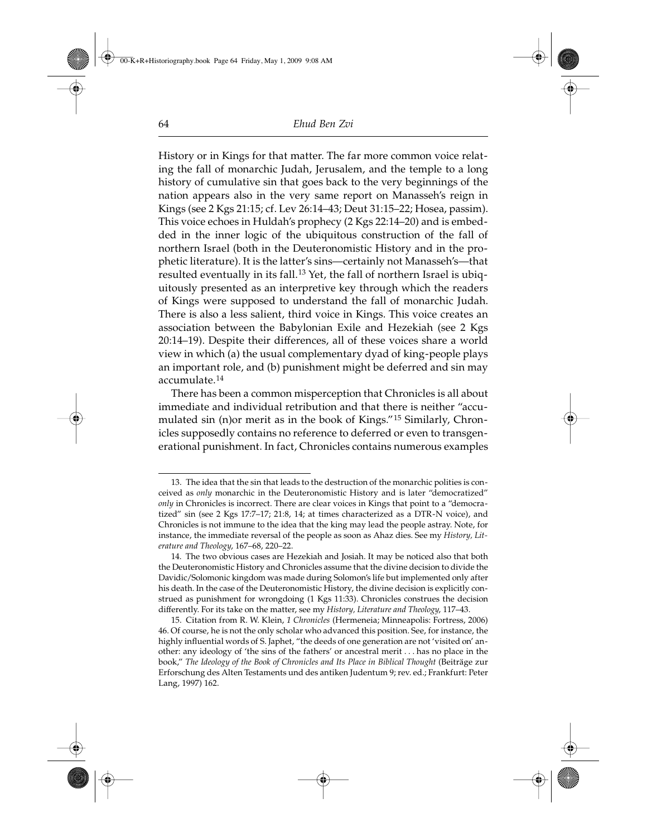History or in Kings for that matter. The far more common voice relating the fall of monarchic Judah, Jerusalem, and the temple to a long history of cumulative sin that goes back to the very beginnings of the nation appears also in the very same report on Manasseh's reign in Kings (see 2 Kgs 21:15; cf. Lev 26:14–43; Deut 31:15–22; Hosea, passim). This voice echoes in Huldah's prophecy (2 Kgs 22:14–20) and is embedded in the inner logic of the ubiquitous construction of the fall of northern Israel (both in the Deuteronomistic History and in the prophetic literature). It is the latter's sins—certainly not Manasseh's—that resulted eventually in its fall.13 Yet, the fall of northern Israel is ubiquitously presented as an interpretive key through which the readers of Kings were supposed to understand the fall of monarchic Judah. There is also a less salient, third voice in Kings. This voice creates an association between the Babylonian Exile and Hezekiah (see 2 Kgs 20:14–19). Despite their differences, all of these voices share a world view in which (a) the usual complementary dyad of king-people plays an important role, and (b) punishment might be deferred and sin may accumulate.14

There has been a common misperception that Chronicles is all about immediate and individual retribution and that there is neither "accumulated sin (n)or merit as in the book of Kings."15 Similarly, Chronicles supposedly contains no reference to deferred or even to transgenerational punishment. In fact, Chronicles contains numerous examples

<sup>13.</sup> The idea that the sin that leads to the destruction of the monarchic polities is conceived as *only* monarchic in the Deuteronomistic History and is later "democratized" *only* in Chronicles is incorrect. There are clear voices in Kings that point to a "democratized" sin (see 2 Kgs 17:7–17; 21:8, 14; at times characterized as a DTR-N voice), and Chronicles is not immune to the idea that the king may lead the people astray. Note, for instance, the immediate reversal of the people as soon as Ahaz dies. See my *History, Literature and Theology*, 167–68, 220–22.

<sup>14.</sup> The two obvious cases are Hezekiah and Josiah. It may be noticed also that both the Deuteronomistic History and Chronicles assume that the divine decision to divide the Davidic/Solomonic kingdom was made during Solomon's life but implemented only after his death. In the case of the Deuteronomistic History, the divine decision is explicitly construed as punishment for wrongdoing (1 Kgs 11:33). Chronicles construes the decision differently. For its take on the matter, see my *History, Literature and Theology*, 117–43.

<sup>15.</sup> Citation from R. W. Klein, *1 Chronicles* (Hermeneia; Minneapolis: Fortress, 2006) 46. Of course, he is not the only scholar who advanced this position. See, for instance, the highly influential words of S. Japhet, "the deeds of one generation are not 'visited on' another: any ideology of 'the sins of the fathers' or ancestral merit . . . has no place in the book," *The Ideology of the Book of Chronicles and Its Place in Biblical Thought* (Beiträge zur Erforschung des Alten Testaments und des antiken Judentum 9; rev. ed.; Frankfurt: Peter Lang, 1997) 162.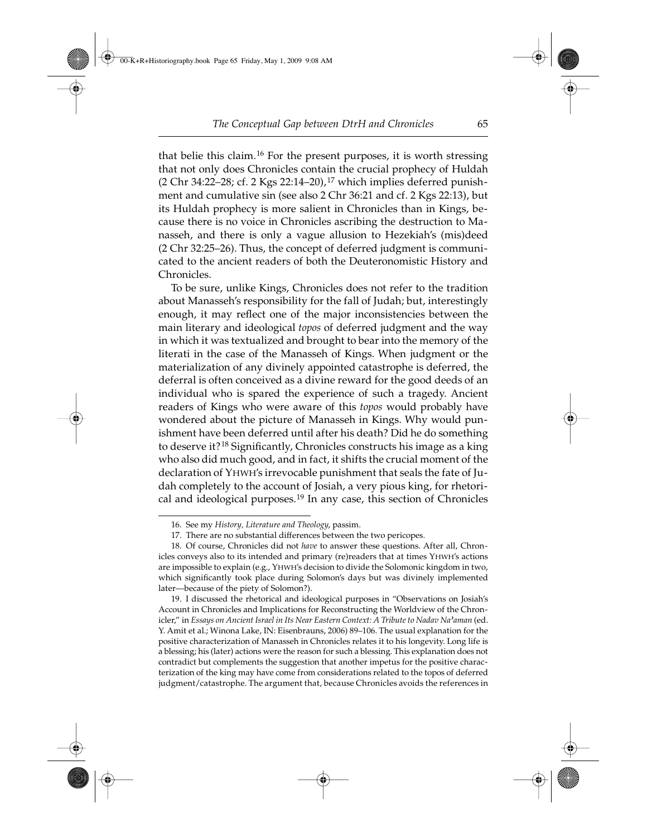that belie this claim.16 For the present purposes, it is worth stressing that not only does Chronicles contain the crucial prophecy of Huldah (2 Chr 34:22–28; cf. 2 Kgs 22:14–20),17 which implies deferred punishment and cumulative sin (see also 2 Chr 36:21 and cf. 2 Kgs 22:13), but its Huldah prophecy is more salient in Chronicles than in Kings, because there is no voice in Chronicles ascribing the destruction to Manasseh, and there is only a vague allusion to Hezekiah's (mis)deed (2 Chr 32:25–26). Thus, the concept of deferred judgment is communicated to the ancient readers of both the Deuteronomistic History and Chronicles.

To be sure, unlike Kings, Chronicles does not refer to the tradition about Manasseh's responsibility for the fall of Judah; but, interestingly enough, it may reflect one of the major inconsistencies between the main literary and ideological *topos* of deferred judgment and the way in which it was textualized and brought to bear into the memory of the literati in the case of the Manasseh of Kings. When judgment or the materialization of any divinely appointed catastrophe is deferred, the deferral is often conceived as a divine reward for the good deeds of an individual who is spared the experience of such a tragedy. Ancient readers of Kings who were aware of this *topos* would probably have wondered about the picture of Manasseh in Kings. Why would punishment have been deferred until after his death? Did he do something to deserve it?18 Significantly, Chronicles constructs his image as a king who also did much good, and in fact, it shifts the crucial moment of the declaration of Yhwh's irrevocable punishment that seals the fate of Judah completely to the account of Josiah, a very pious king, for rhetorical and ideological purposes.19 In any case, this section of Chronicles

<sup>16.</sup> See my *History, Literature and Theology*, passim.

<sup>17.</sup> There are no substantial differences between the two pericopes.

<sup>18.</sup> Of course, Chronicles did not *have* to answer these questions. After all, Chronicles conveys also to its intended and primary (re)readers that at times YHWH's actions are impossible to explain (e.g., Yhwh's decision to divide the Solomonic kingdom in two, which significantly took place during Solomon's days but was divinely implemented later—because of the piety of Solomon?).

<sup>19.</sup> I discussed the rhetorical and ideological purposes in "Observations on Josiah's Account in Chronicles and Implications for Reconstructing the Worldview of the Chronicler," in *Essays on Ancient Israel in Its Near Eastern Context: A Tribute to Nadav Naªaman* (ed. Y. Amit et al.; Winona Lake, IN: Eisenbrauns, 2006) 89–106. The usual explanation for the positive characterization of Manasseh in Chronicles relates it to his longevity. Long life is a blessing; his (later) actions were the reason for such a blessing. This explanation does not contradict but complements the suggestion that another impetus for the positive characterization of the king may have come from considerations related to the topos of deferred judgment/catastrophe. The argument that, because Chronicles avoids the references in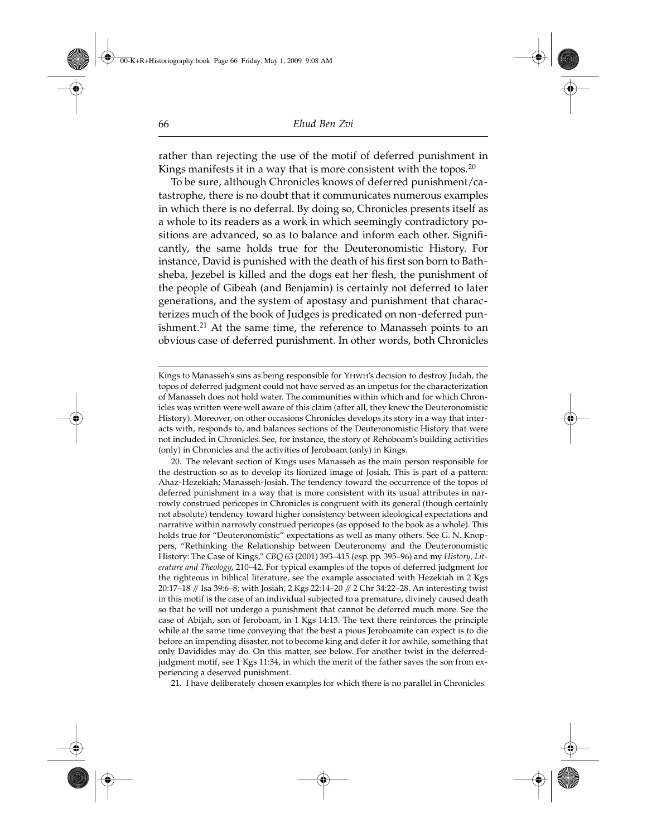rather than rejecting the use of the motif of deferred punishment in Kings manifests it in a way that is more consistent with the topos.<sup>20</sup>

To be sure, although Chronicles knows of deferred punishment/catastrophe, there is no doubt that it communicates numerous examples in which there is no deferral. By doing so, Chronicles presents itself as a whole to its readers as a work in which seemingly contradictory positions are advanced, so as to balance and inform each other. Significantly, the same holds true for the Deuteronomistic History. For instance, David is punished with the death of his first son born to Bathsheba, Jezebel is killed and the dogs eat her flesh, the punishment of the people of Gibeah (and Benjamin) is certainly not deferred to later generations, and the system of apostasy and punishment that characterizes much of the book of Judges is predicated on non-deferred punishment.<sup>21</sup> At the same time, the reference to Manasseh points to an obvious case of deferred punishment. In other words, both Chronicles

20. The relevant section of Kings uses Manasseh as the main person responsible for the destruction so as to develop its lionized image of Josiah. This is part of a pattern: Ahaz-Hezekiah; Manasseh-Josiah. The tendency toward the occurrence of the topos of deferred punishment in a way that is more consistent with its usual attributes in narrowly construed pericopes in Chronicles is congruent with its general (though certainly not absolute) tendency toward higher consistency between ideological expectations and narrative within narrowly construed pericopes (as opposed to the book as a whole). This holds true for "Deuteronomistic" expectations as well as many others. See G. N. Knoppers, "Rethinking the Relationship between Deuteronomy and the Deuteronomistic History: The Case of Kings," *CBQ* 63 (2001) 393–415 (esp. pp. 395–96) and my *History, Literature and Theology*, 210–42. For typical examples of the topos of deferred judgment for the righteous in biblical literature, see the example associated with Hezekiah in 2 Kgs 20:17–18 // Isa 39:6–8; with Josiah, 2 Kgs 22:14–20 // 2 Chr 34:22–28. An interesting twist in this motif is the case of an individual subjected to a premature, divinely caused death so that he will not undergo a punishment that cannot be deferred much more. See the case of Abijah, son of Jeroboam, in 1 Kgs 14:13. The text there reinforces the principle while at the same time conveying that the best a pious Jeroboamite can expect is to die before an impending disaster, not to become king and defer it for awhile, something that only Davidides may do. On this matter, see below. For another twist in the deferredjudgment motif, see 1 Kgs 11:34, in which the merit of the father saves the son from experiencing a deserved punishment.

21. I have deliberately chosen examples for which there is no parallel in Chronicles.

Kings to Manasseh's sins as being responsible for Yhwh's decision to destroy Judah, the topos of deferred judgment could not have served as an impetus for the characterization of Manasseh does not hold water. The communities within which and for which Chronicles was written were well aware of this claim (after all, they knew the Deuteronomistic History). Moreover, on other occasions Chronicles develops its story in a way that interacts with, responds to, and balances sections of the Deuteronomistic History that were not included in Chronicles. See, for instance, the story of Rehoboam's building activities (only) in Chronicles and the activities of Jeroboam (only) in Kings.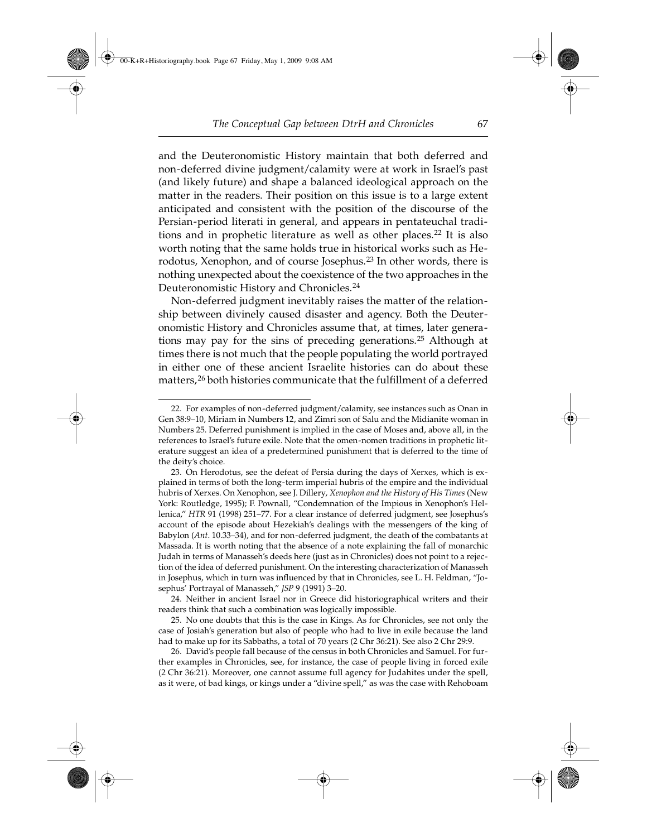and the Deuteronomistic History maintain that both deferred and non-deferred divine judgment/calamity were at work in Israel's past (and likely future) and shape a balanced ideological approach on the matter in the readers. Their position on this issue is to a large extent anticipated and consistent with the position of the discourse of the Persian-period literati in general, and appears in pentateuchal traditions and in prophetic literature as well as other places.<sup>22</sup> It is also worth noting that the same holds true in historical works such as Herodotus, Xenophon, and of course Josephus.23 In other words, there is nothing unexpected about the coexistence of the two approaches in the Deuteronomistic History and Chronicles.24

Non-deferred judgment inevitably raises the matter of the relationship between divinely caused disaster and agency. Both the Deuteronomistic History and Chronicles assume that, at times, later generations may pay for the sins of preceding generations.25 Although at times there is not much that the people populating the world portrayed in either one of these ancient Israelite histories can do about these matters,26 both histories communicate that the fulfillment of a deferred

<sup>22.</sup> For examples of non-deferred judgment/calamity, see instances such as Onan in Gen 38:9–10, Miriam in Numbers 12, and Zimri son of Salu and the Midianite woman in Numbers 25. Deferred punishment is implied in the case of Moses and, above all, in the references to Israel's future exile. Note that the omen-nomen traditions in prophetic literature suggest an idea of a predetermined punishment that is deferred to the time of the deity's choice.

<sup>23.</sup> On Herodotus, see the defeat of Persia during the days of Xerxes, which is explained in terms of both the long-term imperial hubris of the empire and the individual hubris of Xerxes. On Xenophon, see J. Dillery, *Xenophon and the History of His Times* (New York: Routledge, 1995); F. Pownall, "Condemnation of the Impious in Xenophon's Hellenica," *HTR* 91 (1998) 251–77. For a clear instance of deferred judgment, see Josephus's account of the episode about Hezekiah's dealings with the messengers of the king of Babylon (*Ant*. 10.33–34), and for non-deferred judgment, the death of the combatants at Massada. It is worth noting that the absence of a note explaining the fall of monarchic Judah in terms of Manasseh's deeds here (just as in Chronicles) does not point to a rejection of the idea of deferred punishment. On the interesting characterization of Manasseh in Josephus, which in turn was influenced by that in Chronicles, see L. H. Feldman, "Josephus' Portrayal of Manasseh," *JSP* 9 (1991) 3–20.

<sup>24.</sup> Neither in ancient Israel nor in Greece did historiographical writers and their readers think that such a combination was logically impossible.

<sup>25.</sup> No one doubts that this is the case in Kings. As for Chronicles, see not only the case of Josiah's generation but also of people who had to live in exile because the land had to make up for its Sabbaths, a total of 70 years (2 Chr 36:21). See also 2 Chr 29:9.

<sup>26.</sup> David's people fall because of the census in both Chronicles and Samuel. For further examples in Chronicles, see, for instance, the case of people living in forced exile (2 Chr 36:21). Moreover, one cannot assume full agency for Judahites under the spell, as it were, of bad kings, or kings under a "divine spell," as was the case with Rehoboam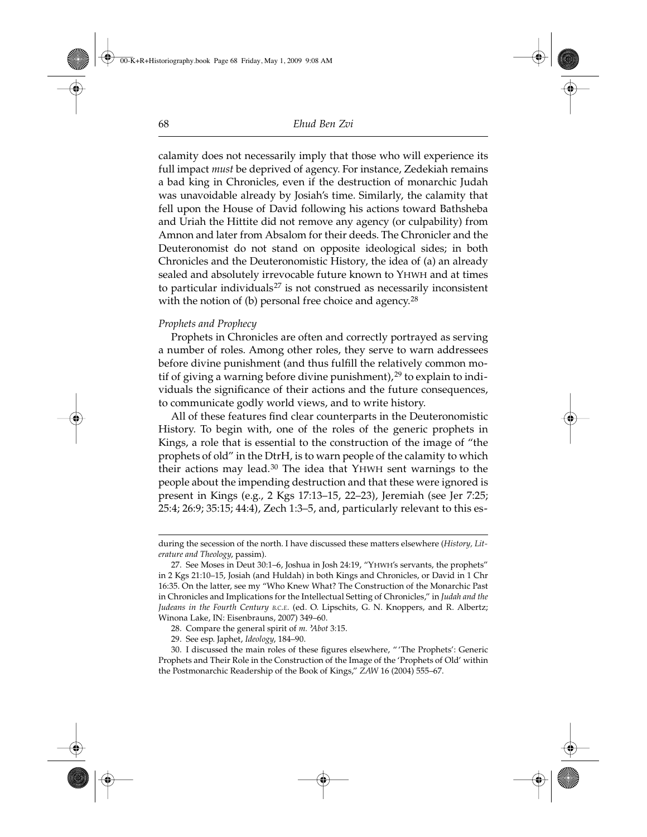calamity does not necessarily imply that those who will experience its full impact *must* be deprived of agency. For instance, Zedekiah remains a bad king in Chronicles, even if the destruction of monarchic Judah was unavoidable already by Josiah's time. Similarly, the calamity that fell upon the House of David following his actions toward Bathsheba and Uriah the Hittite did not remove any agency (or culpability) from Amnon and later from Absalom for their deeds. The Chronicler and the Deuteronomist do not stand on opposite ideological sides; in both Chronicles and the Deuteronomistic History, the idea of (a) an already sealed and absolutely irrevocable future known to Yhwh and at times to particular individuals $^{27}$  is not construed as necessarily inconsistent with the notion of (b) personal free choice and agency.<sup>28</sup>

#### *Prophets and Prophecy*

Prophets in Chronicles are often and correctly portrayed as serving a number of roles. Among other roles, they serve to warn addressees before divine punishment (and thus fulfill the relatively common motif of giving a warning before divine punishment),<sup>29</sup> to explain to individuals the significance of their actions and the future consequences, to communicate godly world views, and to write history.

All of these features find clear counterparts in the Deuteronomistic History. To begin with, one of the roles of the generic prophets in Kings, a role that is essential to the construction of the image of "the prophets of old" in the DtrH, is to warn people of the calamity to which their actions may lead.<sup>30</sup> The idea that YHWH sent warnings to the people about the impending destruction and that these were ignored is present in Kings (e.g., 2 Kgs 17:13–15, 22–23), Jeremiah (see Jer 7:25; 25:4; 26:9; 35:15; 44:4), Zech 1:3–5, and, particularly relevant to this es-

28. Compare the general spirit of *m. ªAbot* 3:15.

29. See esp. Japhet, *Ideology*, 184–90.

30. I discussed the main roles of these figures elsewhere, " 'The Prophets': Generic Prophets and Their Role in the Construction of the Image of the 'Prophets of Old' within the Postmonarchic Readership of the Book of Kings," *ZAW* 16 (2004) 555–67.

during the secession of the north. I have discussed these matters elsewhere (*History, Literature and Theology*, passim).

<sup>27.</sup> See Moses in Deut 30:1–6, Joshua in Josh 24:19, "Yhwh's servants, the prophets" in 2 Kgs 21:10–15, Josiah (and Huldah) in both Kings and Chronicles, or David in 1 Chr 16:35. On the latter, see my "Who Knew What? The Construction of the Monarchic Past in Chronicles and Implications for the Intellectual Setting of Chronicles," in *Judah and the Judeans in the Fourth Century b.c.e.* (ed. O. Lipschits, G. N. Knoppers, and R. Albertz; Winona Lake, IN: Eisenbrauns, 2007) 349–60.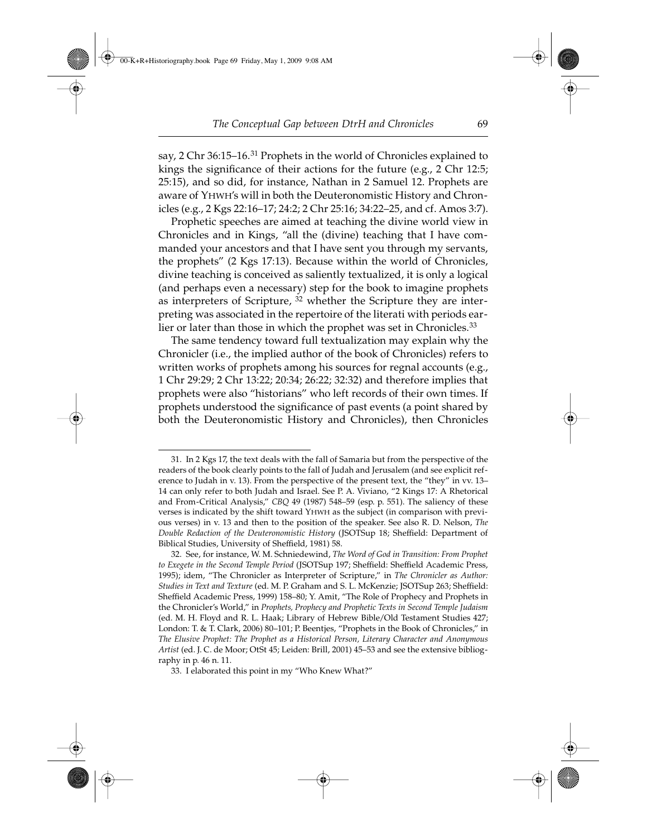say, 2 Chr 36:15–16.<sup>31</sup> Prophets in the world of Chronicles explained to kings the significance of their actions for the future (e.g., 2 Chr 12:5; 25:15), and so did, for instance, Nathan in 2 Samuel 12. Prophets are aware of Yhwh's will in both the Deuteronomistic History and Chronicles (e.g., 2 Kgs 22:16–17; 24:2; 2 Chr 25:16; 34:22–25, and cf. Amos 3:7).

Prophetic speeches are aimed at teaching the divine world view in Chronicles and in Kings, "all the (divine) teaching that I have commanded your ancestors and that I have sent you through my servants, the prophets" (2 Kgs 17:13). Because within the world of Chronicles, divine teaching is conceived as saliently textualized, it is only a logical (and perhaps even a necessary) step for the book to imagine prophets as interpreters of Scripture, <sup>32</sup> whether the Scripture they are interpreting was associated in the repertoire of the literati with periods earlier or later than those in which the prophet was set in Chronicles.<sup>33</sup>

The same tendency toward full textualization may explain why the Chronicler (i.e., the implied author of the book of Chronicles) refers to written works of prophets among his sources for regnal accounts (e.g., 1 Chr 29:29; 2 Chr 13:22; 20:34; 26:22; 32:32) and therefore implies that prophets were also "historians" who left records of their own times. If prophets understood the significance of past events (a point shared by both the Deuteronomistic History and Chronicles), then Chronicles

<sup>31.</sup> In 2 Kgs 17, the text deals with the fall of Samaria but from the perspective of the readers of the book clearly points to the fall of Judah and Jerusalem (and see explicit reference to Judah in v. 13). From the perspective of the present text, the "they" in vv. 13– 14 can only refer to both Judah and Israel. See P. A. Viviano, "2 Kings 17: A Rhetorical and From-Critical Analysis," *CBQ* 49 (1987) 548–59 (esp. p. 551). The saliency of these verses is indicated by the shift toward Yhwh as the subject (in comparison with previous verses) in v. 13 and then to the position of the speaker. See also R. D. Nelson, *The Double Redaction of the Deuteronomistic History* (JSOTSup 18; Sheffield: Department of Biblical Studies, University of Sheffield, 1981) 58.

<sup>32.</sup> See, for instance, W. M. Schniedewind, *The Word of God in Transition: From Prophet to Exegete in the Second Temple Period* (JSOTSup 197; Sheffield: Sheffield Academic Press, 1995); idem, "The Chronicler as Interpreter of Scripture," in *The Chronicler as Author: Studies in Text and Texture* (ed. M. P. Graham and S. L. McKenzie; JSOTSup 263; Sheffield: Sheffield Academic Press, 1999) 158–80; Y. Amit, "The Role of Prophecy and Prophets in the Chronicler's World," in *Prophets, Prophecy and Prophetic Texts in Second Temple Judaism* (ed. M. H. Floyd and R. L. Haak; Library of Hebrew Bible/Old Testament Studies 427; London: T. & T. Clark, 2006) 80–101; P. Beentjes, "Prophets in the Book of Chronicles," in *The Elusive Prophet: The Prophet as a Historical Person, Literary Character and Anonymous Artist* (ed. J. C. de Moor; OtSt 45; Leiden: Brill, 2001) 45–53 and see the extensive bibliography in p. 46 n. 11.

<sup>33.</sup> I elaborated this point in my "Who Knew What?"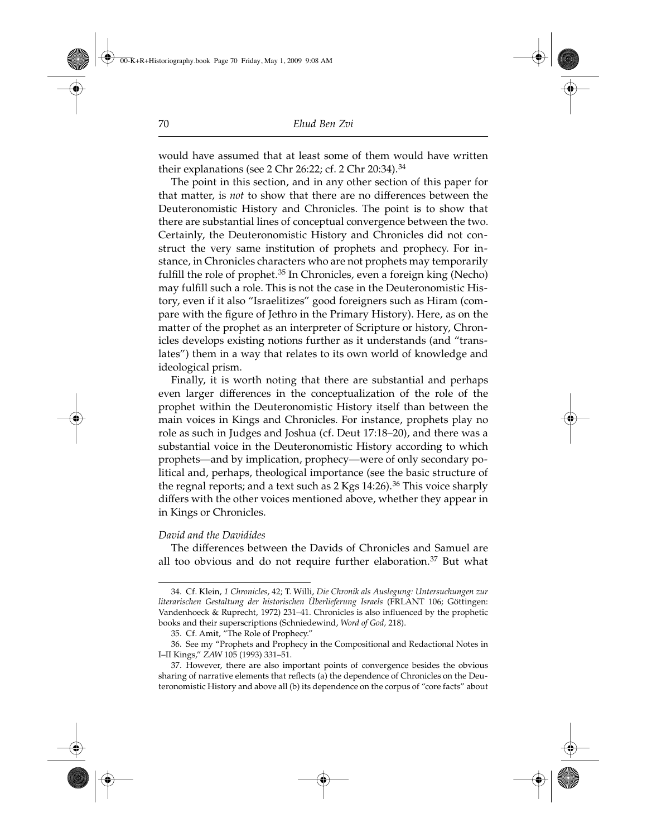would have assumed that at least some of them would have written their explanations (see 2 Chr 26:22; cf. 2 Chr 20:34).34

The point in this section, and in any other section of this paper for that matter, is *not* to show that there are no differences between the Deuteronomistic History and Chronicles. The point is to show that there are substantial lines of conceptual convergence between the two. Certainly, the Deuteronomistic History and Chronicles did not construct the very same institution of prophets and prophecy. For instance, in Chronicles characters who are not prophets may temporarily fulfill the role of prophet.<sup>35</sup> In Chronicles, even a foreign king (Necho) may fulfill such a role. This is not the case in the Deuteronomistic History, even if it also "Israelitizes" good foreigners such as Hiram (compare with the figure of Jethro in the Primary History). Here, as on the matter of the prophet as an interpreter of Scripture or history, Chronicles develops existing notions further as it understands (and "translates") them in a way that relates to its own world of knowledge and ideological prism.

Finally, it is worth noting that there are substantial and perhaps even larger differences in the conceptualization of the role of the prophet within the Deuteronomistic History itself than between the main voices in Kings and Chronicles. For instance, prophets play no role as such in Judges and Joshua (cf. Deut 17:18–20), and there was a substantial voice in the Deuteronomistic History according to which prophets—and by implication, prophecy—were of only secondary political and, perhaps, theological importance (see the basic structure of the regnal reports; and a text such as 2 Kgs 14:26).<sup>36</sup> This voice sharply differs with the other voices mentioned above, whether they appear in in Kings or Chronicles.

#### *David and the Davidides*

The differences between the Davids of Chronicles and Samuel are all too obvious and do not require further elaboration.<sup>37</sup> But what

<sup>34.</sup> Cf. Klein, *1 Chronicles*, 42; T. Willi, *Die Chronik als Auslegung: Untersuchungen zur literarischen Gestaltung der historischen Überlieferung Israels* (FRLANT 106; Göttingen: Vandenhoeck & Ruprecht, 1972) 231–41. Chronicles is also influenced by the prophetic books and their superscriptions (Schniedewind, *Word of God,* 218).

<sup>35.</sup> Cf. Amit, "The Role of Prophecy."

<sup>36.</sup> See my "Prophets and Prophecy in the Compositional and Redactional Notes in I–II Kings," *ZAW* 105 (1993) 331–51.

<sup>37.</sup> However, there are also important points of convergence besides the obvious sharing of narrative elements that reflects (a) the dependence of Chronicles on the Deuteronomistic History and above all (b) its dependence on the corpus of "core facts" about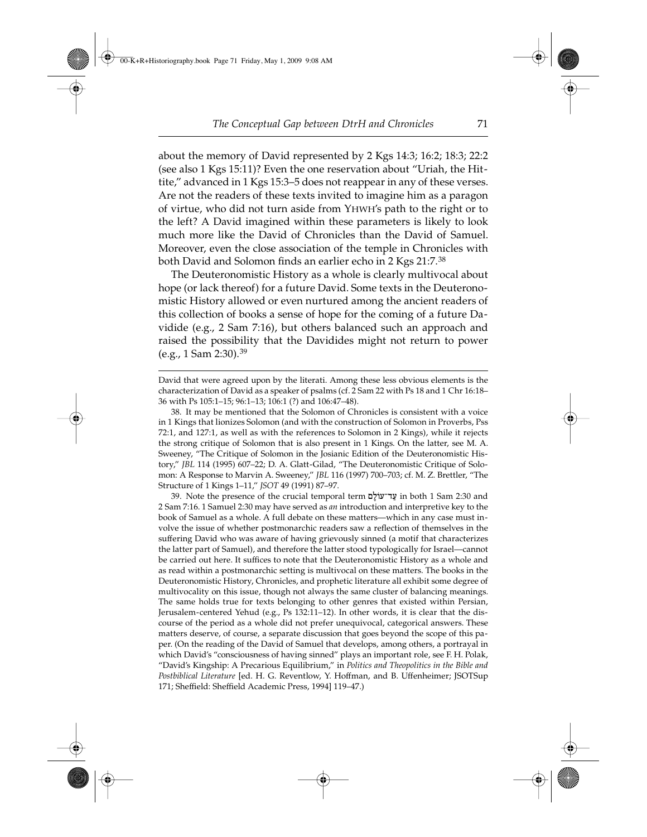about the memory of David represented by 2 Kgs 14:3; 16:2; 18:3; 22:2 (see also 1 Kgs 15:11)? Even the one reservation about "Uriah, the Hittite," advanced in 1 Kgs 15:3–5 does not reappear in any of these verses. Are not the readers of these texts invited to imagine him as a paragon of virtue, who did not turn aside from Yhwh's path to the right or to the left? A David imagined within these parameters is likely to look much more like the David of Chronicles than the David of Samuel. Moreover, even the close association of the temple in Chronicles with both David and Solomon finds an earlier echo in 2 Kgs 21:7.38

The Deuteronomistic History as a whole is clearly multivocal about hope (or lack thereof) for a future David. Some texts in the Deuteronomistic History allowed or even nurtured among the ancient readers of this collection of books a sense of hope for the coming of a future Davidide (e.g., 2 Sam 7:16), but others balanced such an approach and raised the possibility that the Davidides might not return to power (e.g., 1 Sam 2:30).39

David that were agreed upon by the literati. Among these less obvious elements is the characterization of David as a speaker of psalms (cf. 2 Sam 22 with Ps 18 and 1 Chr 16:18– 36 with Ps 105:1–15; 96:1–13; 106:1 (?) and 106:47–48).

38. It may be mentioned that the Solomon of Chronicles is consistent with a voice in 1 Kings that lionizes Solomon (and with the construction of Solomon in Proverbs, Pss 72:1, and 127:1, as well as with the references to Solomon in 2 Kings), while it rejects the strong critique of Solomon that is also present in 1 Kings. On the latter, see M. A. Sweeney, "The Critique of Solomon in the Josianic Edition of the Deuteronomistic History," *JBL* 114 (1995) 607–22; D. A. Glatt-Gilad, "The Deuteronomistic Critique of Solomon: A Response to Marvin A. Sweeney," *JBL* 116 (1997) 700–703; cf. M. Z. Brettler, "The Structure of 1 Kings 1–11," *JSOT* 49 (1991) 87–97.

39. Note the presence of the crucial temporal term עֲד־עוֹלָם in both 1 Sam 2:30 and 2 Sam 7:16. 1 Samuel 2:30 may have served as *an* introduction and interpretive key to the book of Samuel as a whole. A full debate on these matters—which in any case must involve the issue of whether postmonarchic readers saw a reflection of themselves in the suffering David who was aware of having grievously sinned (a motif that characterizes the latter part of Samuel), and therefore the latter stood typologically for Israel—cannot be carried out here. It suffices to note that the Deuteronomistic History as a whole and as read within a postmonarchic setting is multivocal on these matters. The books in the Deuteronomistic History, Chronicles, and prophetic literature all exhibit some degree of multivocality on this issue, though not always the same cluster of balancing meanings. The same holds true for texts belonging to other genres that existed within Persian, Jerusalem-centered Yehud (e.g., Ps 132:11–12). In other words, it is clear that the discourse of the period as a whole did not prefer unequivocal, categorical answers. These matters deserve, of course, a separate discussion that goes beyond the scope of this paper. (On the reading of the David of Samuel that develops, among others, a portrayal in which David's "consciousness of having sinned" plays an important role, see F. H. Polak, "David's Kingship: A Precarious Equilibrium," in *Politics and Theopolitics in the Bible and Postbiblical Literature* [ed. H. G. Reventlow, Y. Hoffman, and B. Uffenheimer; JSOTSup 171; Sheffield: Sheffield Academic Press, 1994] 119–47.)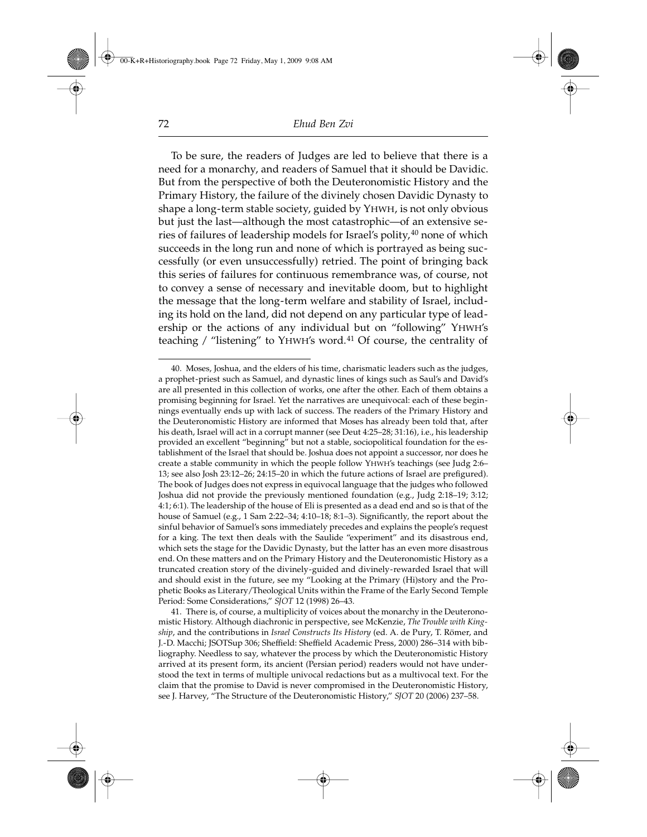To be sure, the readers of Judges are led to believe that there is a need for a monarchy, and readers of Samuel that it should be Davidic. But from the perspective of both the Deuteronomistic History and the Primary History, the failure of the divinely chosen Davidic Dynasty to shape a long-term stable society, guided by Yhwh, is not only obvious but just the last—although the most catastrophic—of an extensive series of failures of leadership models for Israel's polity,<sup>40</sup> none of which succeeds in the long run and none of which is portrayed as being successfully (or even unsuccessfully) retried. The point of bringing back this series of failures for continuous remembrance was, of course, not to convey a sense of necessary and inevitable doom, but to highlight the message that the long-term welfare and stability of Israel, including its hold on the land, did not depend on any particular type of leadership or the actions of any individual but on "following" Yhwh's teaching / "listening" to YHWH's word.<sup>41</sup> Of course, the centrality of

<sup>40.</sup> Moses, Joshua, and the elders of his time, charismatic leaders such as the judges, a prophet-priest such as Samuel, and dynastic lines of kings such as Saul's and David's are all presented in this collection of works, one after the other. Each of them obtains a promising beginning for Israel. Yet the narratives are unequivocal: each of these beginnings eventually ends up with lack of success. The readers of the Primary History and the Deuteronomistic History are informed that Moses has already been told that, after his death, Israel will act in a corrupt manner (see Deut 4:25–28; 31:16), i.e., his leadership provided an excellent "beginning" but not a stable, sociopolitical foundation for the establishment of the Israel that should be. Joshua does not appoint a successor, nor does he create a stable community in which the people follow Yhwh's teachings (see Judg 2:6– 13; see also Josh 23:12–26; 24:15–20 in which the future actions of Israel are prefigured). The book of Judges does not express in equivocal language that the judges who followed Joshua did not provide the previously mentioned foundation (e.g., Judg 2:18–19; 3:12; 4:1; 6:1). The leadership of the house of Eli is presented as a dead end and so is that of the house of Samuel (e.g., 1 Sam 2:22–34; 4:10–18; 8:1–3). Significantly, the report about the sinful behavior of Samuel's sons immediately precedes and explains the people's request for a king. The text then deals with the Saulide "experiment" and its disastrous end, which sets the stage for the Davidic Dynasty, but the latter has an even more disastrous end. On these matters and on the Primary History and the Deuteronomistic History as a truncated creation story of the divinely-guided and divinely-rewarded Israel that will and should exist in the future, see my "Looking at the Primary (Hi)story and the Prophetic Books as Literary/Theological Units within the Frame of the Early Second Temple Period: Some Considerations," *SJOT* 12 (1998) 26–43.

<sup>41.</sup> There is, of course, a multiplicity of voices about the monarchy in the Deuteronomistic History. Although diachronic in perspective, see McKenzie, *The Trouble with Kingship*, and the contributions in *Israel Constructs Its History* (ed. A. de Pury, T. Römer, and J.-D. Macchi; JSOTSup 306; Sheffield: Sheffield Academic Press, 2000) 286–314 with bibliography. Needless to say, whatever the process by which the Deuteronomistic History arrived at its present form, its ancient (Persian period) readers would not have understood the text in terms of multiple univocal redactions but as a multivocal text. For the claim that the promise to David is never compromised in the Deuteronomistic History, see J. Harvey, "The Structure of the Deuteronomistic History," *SJOT* 20 (2006) 237–58.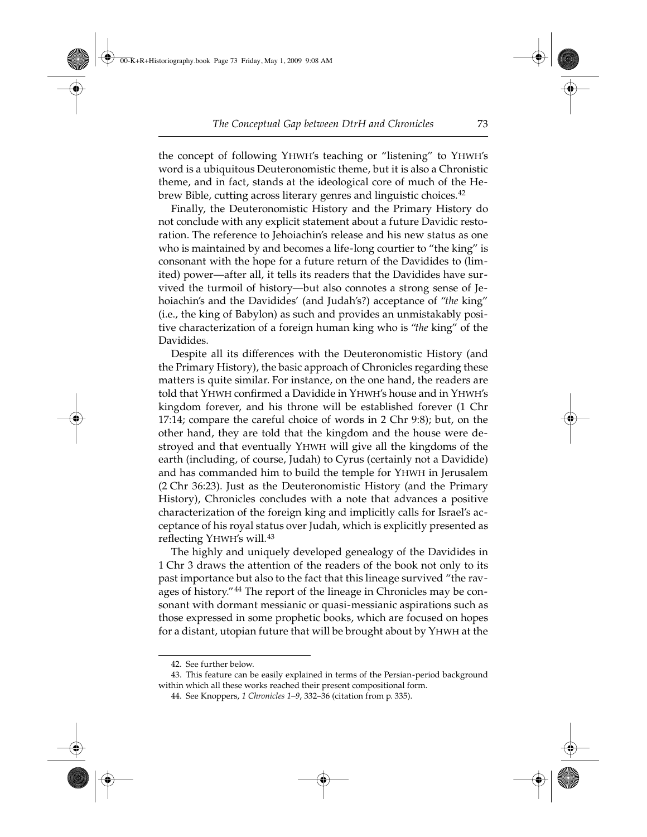the concept of following Yhwh's teaching or "listening" to Yhwh's word is a ubiquitous Deuteronomistic theme, but it is also a Chronistic theme, and in fact, stands at the ideological core of much of the Hebrew Bible, cutting across literary genres and linguistic choices.<sup>42</sup>

Finally, the Deuteronomistic History and the Primary History do not conclude with any explicit statement about a future Davidic restoration. The reference to Jehoiachin's release and his new status as one who is maintained by and becomes a life-long courtier to "the king" is consonant with the hope for a future return of the Davidides to (limited) power—after all, it tells its readers that the Davidides have survived the turmoil of history—but also connotes a strong sense of Jehoiachin's and the Davidides' (and Judah's?) acceptance of "*the* king" (i.e., the king of Babylon) as such and provides an unmistakably positive characterization of a foreign human king who is "*the* king" of the Davidides.

Despite all its differences with the Deuteronomistic History (and the Primary History), the basic approach of Chronicles regarding these matters is quite similar. For instance, on the one hand, the readers are told that Yhwh confirmed a Davidide in Yhwh's house and in Yhwh's kingdom forever, and his throne will be established forever (1 Chr 17:14; compare the careful choice of words in 2 Chr 9:8); but, on the other hand, they are told that the kingdom and the house were destroyed and that eventually Yhwh will give all the kingdoms of the earth (including, of course, Judah) to Cyrus (certainly not a Davidide) and has commanded him to build the temple for Yhwh in Jerusalem (2 Chr 36:23). Just as the Deuteronomistic History (and the Primary History), Chronicles concludes with a note that advances a positive characterization of the foreign king and implicitly calls for Israel's acceptance of his royal status over Judah, which is explicitly presented as reflecting YHWH's will.<sup>43</sup>

The highly and uniquely developed genealogy of the Davidides in 1 Chr 3 draws the attention of the readers of the book not only to its past importance but also to the fact that this lineage survived "the ravages of history."44 The report of the lineage in Chronicles may be consonant with dormant messianic or quasi-messianic aspirations such as those expressed in some prophetic books, which are focused on hopes for a distant, utopian future that will be brought about by Yhwh at the

<sup>42.</sup> See further below.

<sup>43.</sup> This feature can be easily explained in terms of the Persian-period background within which all these works reached their present compositional form.

<sup>44.</sup> See Knoppers, *1 Chronicles 1–9*, 332–36 (citation from p. 335).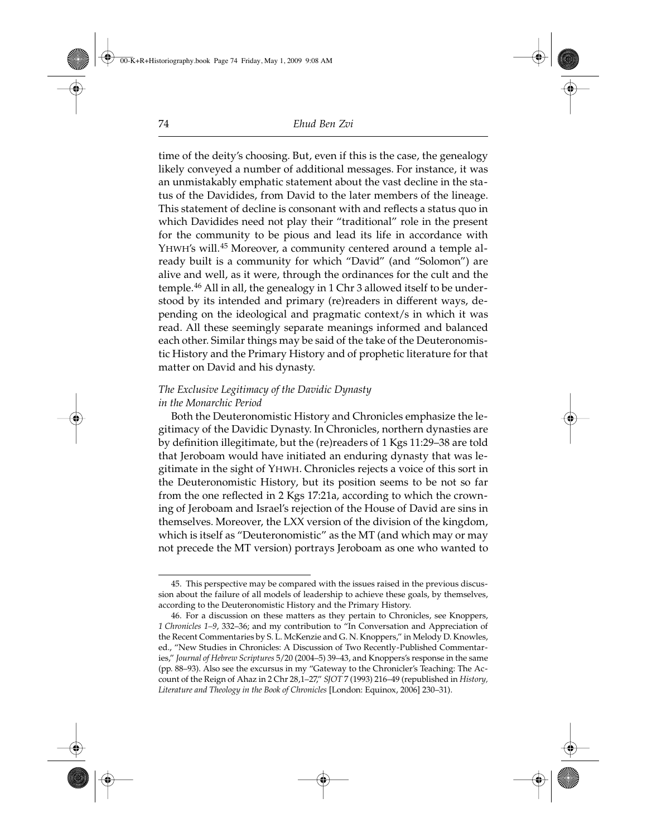time of the deity's choosing. But, even if this is the case, the genealogy likely conveyed a number of additional messages. For instance, it was an unmistakably emphatic statement about the vast decline in the status of the Davidides, from David to the later members of the lineage. This statement of decline is consonant with and reflects a status quo in which Davidides need not play their "traditional" role in the present for the community to be pious and lead its life in accordance with YHWH's will.<sup>45</sup> Moreover, a community centered around a temple already built is a community for which "David" (and "Solomon") are alive and well, as it were, through the ordinances for the cult and the temple.<sup>46</sup> All in all, the genealogy in 1 Chr 3 allowed itself to be understood by its intended and primary (re)readers in different ways, depending on the ideological and pragmatic context/s in which it was read. All these seemingly separate meanings informed and balanced each other. Similar things may be said of the take of the Deuteronomistic History and the Primary History and of prophetic literature for that matter on David and his dynasty.

## *The Exclusive Legitimacy of the Davidic Dynasty in the Monarchic Period*

Both the Deuteronomistic History and Chronicles emphasize the legitimacy of the Davidic Dynasty. In Chronicles, northern dynasties are by definition illegitimate, but the (re)readers of 1 Kgs 11:29–38 are told that Jeroboam would have initiated an enduring dynasty that was legitimate in the sight of Yhwh. Chronicles rejects a voice of this sort in the Deuteronomistic History, but its position seems to be not so far from the one reflected in 2 Kgs 17:21a, according to which the crowning of Jeroboam and Israel's rejection of the House of David are sins in themselves. Moreover, the LXX version of the division of the kingdom, which is itself as "Deuteronomistic" as the MT (and which may or may not precede the MT version) portrays Jeroboam as one who wanted to

<sup>45.</sup> This perspective may be compared with the issues raised in the previous discussion about the failure of all models of leadership to achieve these goals, by themselves, according to the Deuteronomistic History and the Primary History.

<sup>46.</sup> For a discussion on these matters as they pertain to Chronicles, see Knoppers, *1 Chronicles 1–9*, 332–36; and my contribution to "In Conversation and Appreciation of the Recent Commentaries by S. L. McKenzie and G. N. Knoppers," in Melody D. Knowles, ed., "New Studies in Chronicles: A Discussion of Two Recently-Published Commentaries," *Journal of Hebrew Scriptures* 5/20 (2004–5) 39–43, and Knoppers's response in the same (pp. 88–93). Also see the excursus in my "Gateway to the Chronicler's Teaching: The Account of the Reign of Ahaz in 2 Chr 28,1–27," *SJOT* 7 (1993) 216–49 (republished in *History, Literature and Theology in the Book of Chronicles* [London: Equinox, 2006] 230–31).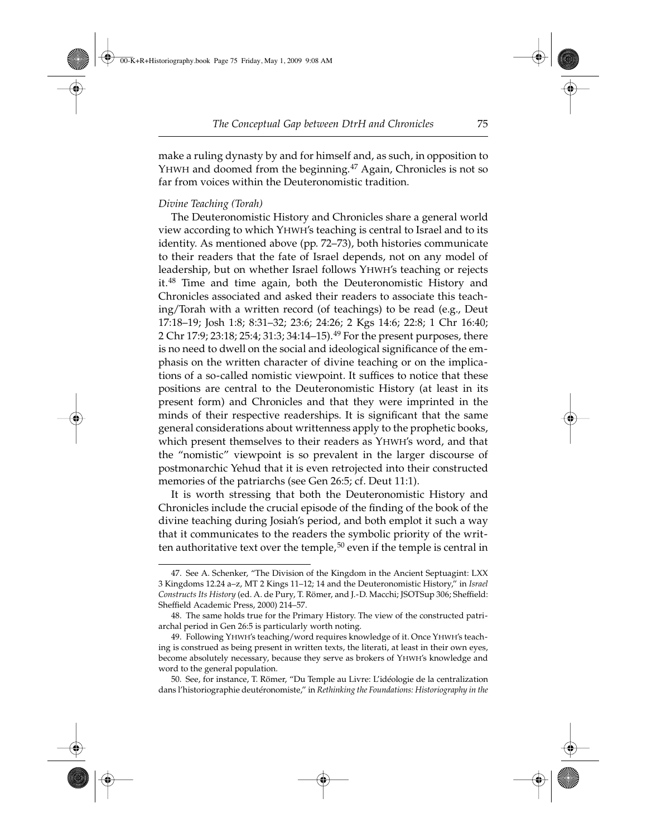make a ruling dynasty by and for himself and, as such, in opposition to YHWH and doomed from the beginning.<sup>47</sup> Again, Chronicles is not so far from voices within the Deuteronomistic tradition.

#### *Divine Teaching (Torah)*

The Deuteronomistic History and Chronicles share a general world view according to which Yhwh's teaching is central to Israel and to its identity. As mentioned above (pp. 72–73), both histories communicate to their readers that the fate of Israel depends, not on any model of leadership, but on whether Israel follows Yhwh's teaching or rejects it.48 Time and time again, both the Deuteronomistic History and Chronicles associated and asked their readers to associate this teaching/Torah with a written record (of teachings) to be read (e.g., Deut 17:18–19; Josh 1:8; 8:31–32; 23:6; 24:26; 2 Kgs 14:6; 22:8; 1 Chr 16:40; 2 Chr 17:9; 23:18; 25:4; 31:3; 34:14–15).49 For the present purposes, there is no need to dwell on the social and ideological significance of the emphasis on the written character of divine teaching or on the implications of a so-called nomistic viewpoint. It suffices to notice that these positions are central to the Deuteronomistic History (at least in its present form) and Chronicles and that they were imprinted in the minds of their respective readerships. It is significant that the same general considerations about writtenness apply to the prophetic books, which present themselves to their readers as Yhwh's word, and that the "nomistic" viewpoint is so prevalent in the larger discourse of postmonarchic Yehud that it is even retrojected into their constructed memories of the patriarchs (see Gen 26:5; cf. Deut 11:1).

It is worth stressing that both the Deuteronomistic History and Chronicles include the crucial episode of the finding of the book of the divine teaching during Josiah's period, and both emplot it such a way that it communicates to the readers the symbolic priority of the written authoritative text over the temple,<sup>50</sup> even if the temple is central in

<sup>47.</sup> See A. Schenker, "The Division of the Kingdom in the Ancient Septuagint: LXX 3 Kingdoms 12.24 a–z, MT 2 Kings 11–12; 14 and the Deuteronomistic History," in *Israel Constructs Its History* (ed. A. de Pury, T. Römer, and J.-D. Macchi; JSOTSup 306; Sheffield: Sheffield Academic Press, 2000) 214–57.

<sup>48.</sup> The same holds true for the Primary History. The view of the constructed patriarchal period in Gen 26:5 is particularly worth noting.

<sup>49.</sup> Following Yhwh's teaching/word requires knowledge of it. Once Yhwh's teaching is construed as being present in written texts, the literati, at least in their own eyes, become absolutely necessary, because they serve as brokers of Yhwh's knowledge and word to the general population.

<sup>50.</sup> See, for instance, T. Römer, "Du Temple au Livre: L'idéologie de la centralization dans l'historiographie deutéronomiste," in *Rethinking the Foundations: Historiography in the*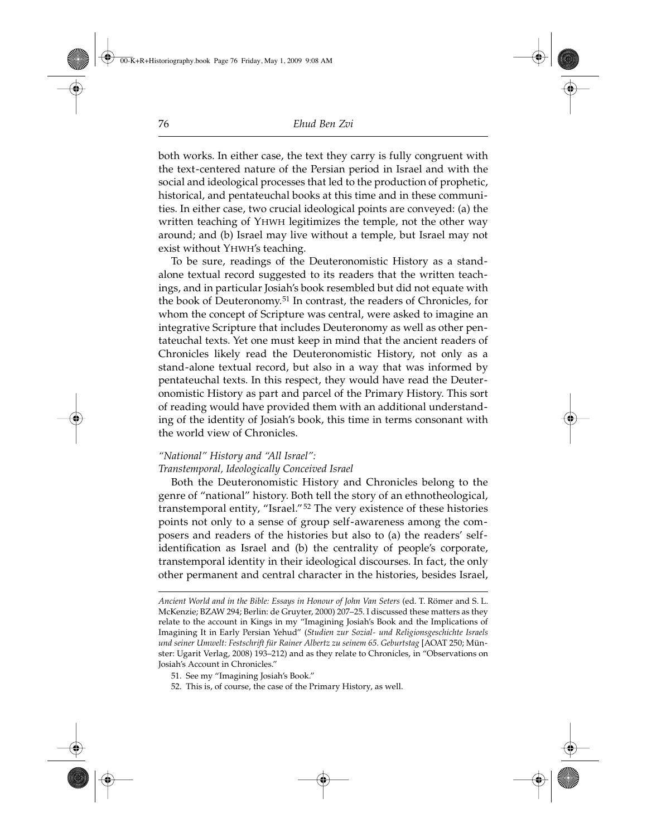both works. In either case, the text they carry is fully congruent with the text-centered nature of the Persian period in Israel and with the social and ideological processes that led to the production of prophetic, historical, and pentateuchal books at this time and in these communities. In either case, two crucial ideological points are conveyed: (a) the written teaching of Yhwh legitimizes the temple, not the other way around; and (b) Israel may live without a temple, but Israel may not exist without Yhwh's teaching.

To be sure, readings of the Deuteronomistic History as a standalone textual record suggested to its readers that the written teachings, and in particular Josiah's book resembled but did not equate with the book of Deuteronomy.51 In contrast, the readers of Chronicles, for whom the concept of Scripture was central, were asked to imagine an integrative Scripture that includes Deuteronomy as well as other pentateuchal texts. Yet one must keep in mind that the ancient readers of Chronicles likely read the Deuteronomistic History, not only as a stand-alone textual record, but also in a way that was informed by pentateuchal texts. In this respect, they would have read the Deuteronomistic History as part and parcel of the Primary History. This sort of reading would have provided them with an additional understanding of the identity of Josiah's book, this time in terms consonant with the world view of Chronicles.

# *"National" History and "All Israel": Transtemporal, Ideologically Conceived Israel*

Both the Deuteronomistic History and Chronicles belong to the genre of "national" history. Both tell the story of an ethnotheological, transtemporal entity, "Israel."52 The very existence of these histories points not only to a sense of group self-awareness among the composers and readers of the histories but also to (a) the readers' selfidentification as Israel and (b) the centrality of people's corporate, transtemporal identity in their ideological discourses. In fact, the only other permanent and central character in the histories, besides Israel,

52. This is, of course, the case of the Primary History, as well.

*Ancient World and in the Bible: Essays in Honour of John Van Seters* (ed. T. Römer and S. L. McKenzie; BZAW 294; Berlin: de Gruyter, 2000) 207–25. I discussed these matters as they relate to the account in Kings in my "Imagining Josiah's Book and the Implications of Imagining It in Early Persian Yehud" (*Studien zur Sozial- und Religionsgeschichte Israels und seiner Umwelt: Festschrift für Rainer Albertz zu seinem 65. Geburtstag* [AOAT 250; Münster: Ugarit Verlag, 2008) 193–212) and as they relate to Chronicles, in "Observations on Josiah's Account in Chronicles."

<sup>51.</sup> See my "Imagining Josiah's Book."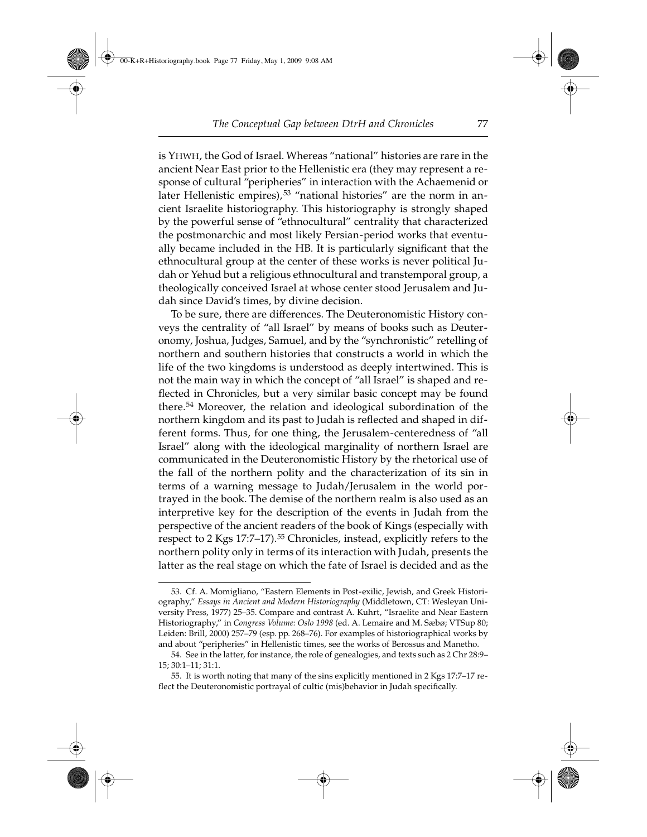is Yhwh, the God of Israel. Whereas "national" histories are rare in the ancient Near East prior to the Hellenistic era (they may represent a response of cultural "peripheries" in interaction with the Achaemenid or later Hellenistic empires), $53$  "national histories" are the norm in ancient Israelite historiography. This historiography is strongly shaped by the powerful sense of "ethnocultural" centrality that characterized the postmonarchic and most likely Persian-period works that eventually became included in the HB. It is particularly significant that the ethnocultural group at the center of these works is never political Judah or Yehud but a religious ethnocultural and transtemporal group, a theologically conceived Israel at whose center stood Jerusalem and Judah since David's times, by divine decision.

To be sure, there are differences. The Deuteronomistic History conveys the centrality of "all Israel" by means of books such as Deuteronomy, Joshua, Judges, Samuel, and by the "synchronistic" retelling of northern and southern histories that constructs a world in which the life of the two kingdoms is understood as deeply intertwined. This is not the main way in which the concept of "all Israel" is shaped and reflected in Chronicles, but a very similar basic concept may be found there.54 Moreover, the relation and ideological subordination of the northern kingdom and its past to Judah is reflected and shaped in different forms. Thus, for one thing, the Jerusalem-centeredness of "all Israel" along with the ideological marginality of northern Israel are communicated in the Deuteronomistic History by the rhetorical use of the fall of the northern polity and the characterization of its sin in terms of a warning message to Judah/Jerusalem in the world portrayed in the book. The demise of the northern realm is also used as an interpretive key for the description of the events in Judah from the perspective of the ancient readers of the book of Kings (especially with respect to 2 Kgs 17:7-17).<sup>55</sup> Chronicles, instead, explicitly refers to the northern polity only in terms of its interaction with Judah, presents the latter as the real stage on which the fate of Israel is decided and as the

<sup>53.</sup> Cf. A. Momigliano, "Eastern Elements in Post-exilic, Jewish, and Greek Historiography," *Essays in Ancient and Modern Historiography* (Middletown, CT: Wesleyan University Press, 1977) 25–35. Compare and contrast A. Kuhrt, "Israelite and Near Eastern Historiography," in *Congress Volume: Oslo 1998* (ed. A. Lemaire and M. Sæbø; VTSup 80; Leiden: Brill, 2000) 257–79 (esp. pp. 268–76). For examples of historiographical works by and about "peripheries" in Hellenistic times, see the works of Berossus and Manetho.

<sup>54.</sup> See in the latter, for instance, the role of genealogies, and texts such as 2 Chr 28:9– 15; 30:1–11; 31:1.

<sup>55.</sup> It is worth noting that many of the sins explicitly mentioned in 2 Kgs 17:7–17 reflect the Deuteronomistic portrayal of cultic (mis)behavior in Judah specifically.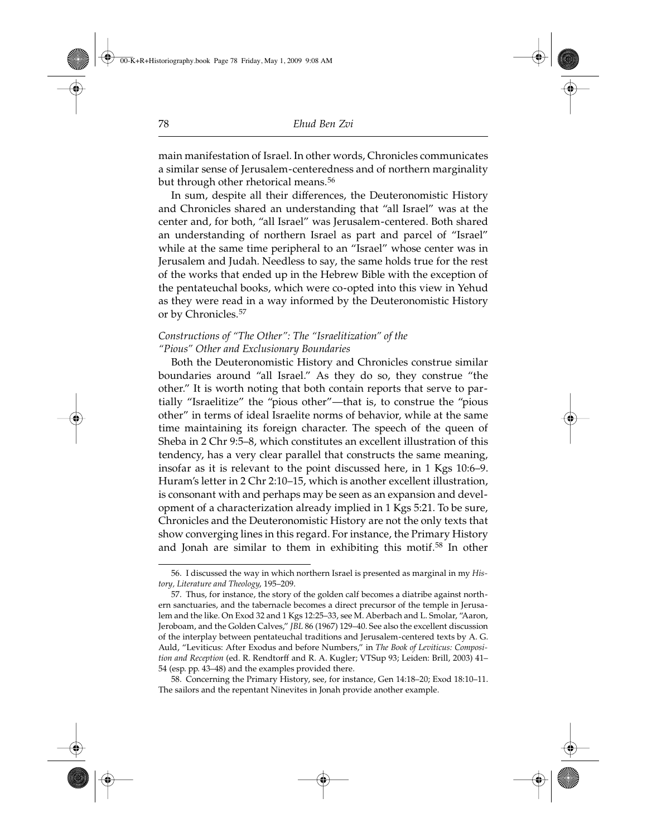main manifestation of Israel. In other words, Chronicles communicates a similar sense of Jerusalem-centeredness and of northern marginality but through other rhetorical means.<sup>56</sup>

In sum, despite all their differences, the Deuteronomistic History and Chronicles shared an understanding that "all Israel" was at the center and, for both, "all Israel" was Jerusalem-centered. Both shared an understanding of northern Israel as part and parcel of "Israel" while at the same time peripheral to an "Israel" whose center was in Jerusalem and Judah. Needless to say, the same holds true for the rest of the works that ended up in the Hebrew Bible with the exception of the pentateuchal books, which were co-opted into this view in Yehud as they were read in a way informed by the Deuteronomistic History or by Chronicles.57

# *Constructions of "The Other": The "Israelitization" of the "Pious" Other and Exclusionary Boundaries*

Both the Deuteronomistic History and Chronicles construe similar boundaries around "all Israel." As they do so, they construe "the other." It is worth noting that both contain reports that serve to partially "Israelitize" the "pious other"—that is, to construe the "pious other" in terms of ideal Israelite norms of behavior, while at the same time maintaining its foreign character. The speech of the queen of Sheba in 2 Chr 9:5–8, which constitutes an excellent illustration of this tendency, has a very clear parallel that constructs the same meaning, insofar as it is relevant to the point discussed here, in 1 Kgs 10:6–9. Huram's letter in 2 Chr 2:10–15, which is another excellent illustration, is consonant with and perhaps may be seen as an expansion and development of a characterization already implied in 1 Kgs 5:21. To be sure, Chronicles and the Deuteronomistic History are not the only texts that show converging lines in this regard. For instance, the Primary History and Jonah are similar to them in exhibiting this motif.58 In other

<sup>56.</sup> I discussed the way in which northern Israel is presented as marginal in my *History, Literature and Theology*, 195–209.

<sup>57.</sup> Thus, for instance, the story of the golden calf becomes a diatribe against northern sanctuaries, and the tabernacle becomes a direct precursor of the temple in Jerusalem and the like. On Exod 32 and 1 Kgs 12:25–33, see M. Aberbach and L. Smolar, "Aaron, Jeroboam, and the Golden Calves," *JBL* 86 (1967) 129–40. See also the excellent discussion of the interplay between pentateuchal traditions and Jerusalem-centered texts by A. G. Auld, "Leviticus: After Exodus and before Numbers," in *The Book of Leviticus: Composition and Reception* (ed. R. Rendtorff and R. A. Kugler; VTSup 93; Leiden: Brill, 2003) 41– 54 (esp. pp. 43–48) and the examples provided there.

<sup>58.</sup> Concerning the Primary History, see, for instance, Gen 14:18–20; Exod 18:10–11. The sailors and the repentant Ninevites in Jonah provide another example.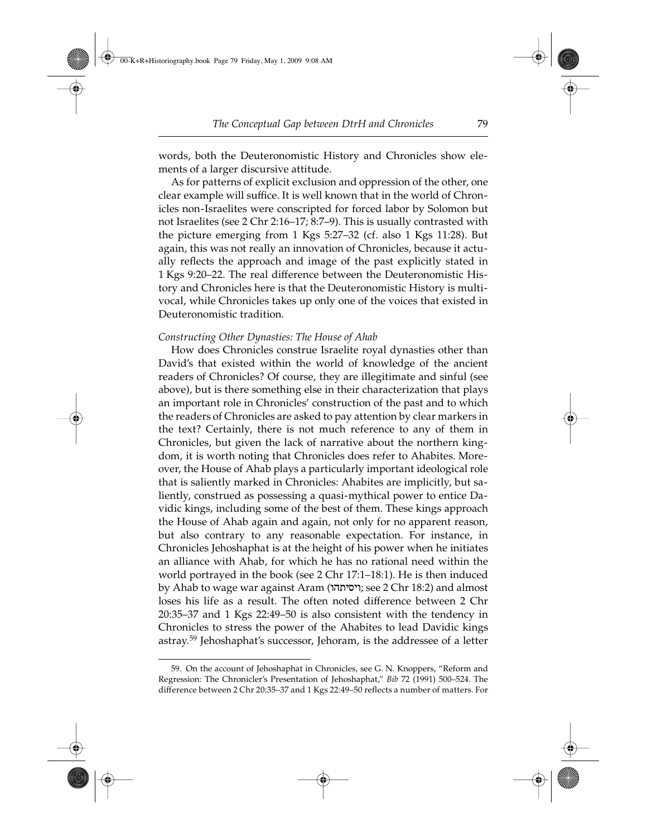words, both the Deuteronomistic History and Chronicles show elements of a larger discursive attitude.

As for patterns of explicit exclusion and oppression of the other, one clear example will suffice. It is well known that in the world of Chronicles non-Israelites were conscripted for forced labor by Solomon but not Israelites (see 2 Chr 2:16–17; 8:7–9). This is usually contrasted with the picture emerging from 1 Kgs 5:27–32 (cf. also 1 Kgs 11:28). But again, this was not really an innovation of Chronicles, because it actually reflects the approach and image of the past explicitly stated in 1 Kgs 9:20–22. The real difference between the Deuteronomistic History and Chronicles here is that the Deuteronomistic History is multivocal, while Chronicles takes up only one of the voices that existed in Deuteronomistic tradition.

#### *Constructing Other Dynasties: The House of Ahab*

How does Chronicles construe Israelite royal dynasties other than David's that existed within the world of knowledge of the ancient readers of Chronicles? Of course, they are illegitimate and sinful (see above), but is there something else in their characterization that plays an important role in Chronicles' construction of the past and to which the readers of Chronicles are asked to pay attention by clear markers in the text? Certainly, there is not much reference to any of them in Chronicles, but given the lack of narrative about the northern kingdom, it is worth noting that Chronicles does refer to Ahabites. Moreover, the House of Ahab plays a particularly important ideological role that is saliently marked in Chronicles: Ahabites are implicitly, but saliently, construed as possessing a quasi-mythical power to entice Davidic kings, including some of the best of them. These kings approach the House of Ahab again and again, not only for no apparent reason, but also contrary to any reasonable expectation. For instance, in Chronicles Jehoshaphat is at the height of his power when he initiates an alliance with Ahab, for which he has no rational need within the world portrayed in the book (see 2 Chr 17:1–18:1). He is then induced by Ahab to wage war against Aram (ויסיתהו; see 2 Chr 18:2) and almost loses his life as a result. The often noted difference between 2 Chr 20:35–37 and 1 Kgs 22:49–50 is also consistent with the tendency in Chronicles to stress the power of the Ahabites to lead Davidic kings astray.59 Jehoshaphat's successor, Jehoram, is the addressee of a letter

<sup>59.</sup> On the account of Jehoshaphat in Chronicles, see G. N. Knoppers, "Reform and Regression: The Chronicler's Presentation of Jehoshaphat," *Bib* 72 (1991) 500–524. The difference between 2 Chr 20:35–37 and 1 Kgs 22:49–50 reflects a number of matters. For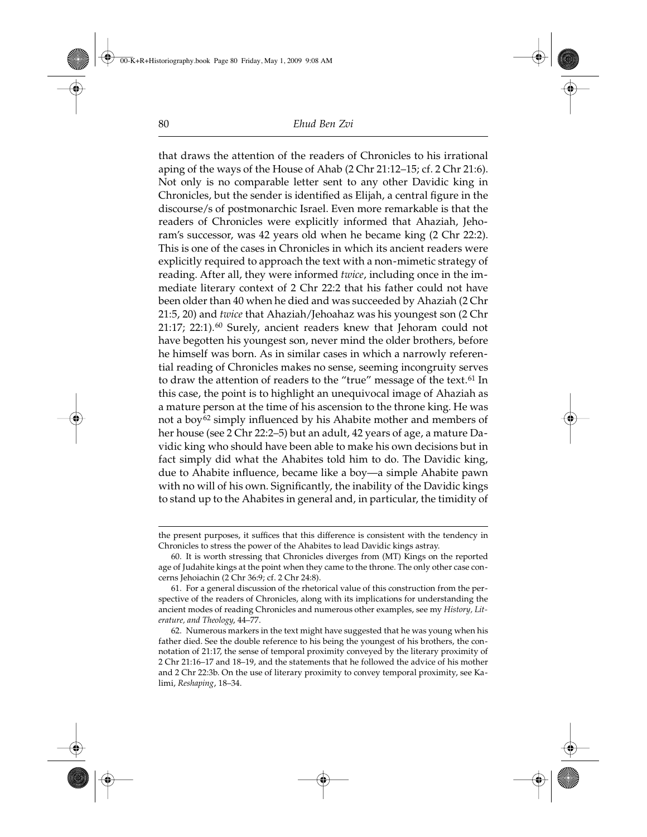that draws the attention of the readers of Chronicles to his irrational aping of the ways of the House of Ahab (2 Chr 21:12–15; cf. 2 Chr 21:6). Not only is no comparable letter sent to any other Davidic king in Chronicles, but the sender is identified as Elijah, a central figure in the discourse/s of postmonarchic Israel. Even more remarkable is that the readers of Chronicles were explicitly informed that Ahaziah, Jehoram's successor, was 42 years old when he became king (2 Chr 22:2). This is one of the cases in Chronicles in which its ancient readers were explicitly required to approach the text with a non-mimetic strategy of reading. After all, they were informed *twice*, including once in the immediate literary context of 2 Chr 22:2 that his father could not have been older than 40 when he died and was succeeded by Ahaziah (2 Chr 21:5, 20) and *twice* that Ahaziah/Jehoahaz was his youngest son (2 Chr 21:17; 22:1).<sup>60</sup> Surely, ancient readers knew that Jehoram could not have begotten his youngest son, never mind the older brothers, before he himself was born. As in similar cases in which a narrowly referential reading of Chronicles makes no sense, seeming incongruity serves to draw the attention of readers to the "true" message of the text.<sup>61</sup> In this case, the point is to highlight an unequivocal image of Ahaziah as a mature person at the time of his ascension to the throne king. He was not a boy<sup>62</sup> simply influenced by his Ahabite mother and members of her house (see 2 Chr 22:2–5) but an adult, 42 years of age, a mature Davidic king who should have been able to make his own decisions but in fact simply did what the Ahabites told him to do. The Davidic king, due to Ahabite influence, became like a boy—a simple Ahabite pawn with no will of his own. Significantly, the inability of the Davidic kings to stand up to the Ahabites in general and, in particular, the timidity of

the present purposes, it suffices that this difference is consistent with the tendency in Chronicles to stress the power of the Ahabites to lead Davidic kings astray.

<sup>60.</sup> It is worth stressing that Chronicles diverges from (MT) Kings on the reported age of Judahite kings at the point when they came to the throne. The only other case concerns Jehoiachin (2 Chr 36:9; cf. 2 Chr 24:8).

<sup>61.</sup> For a general discussion of the rhetorical value of this construction from the perspective of the readers of Chronicles, along with its implications for understanding the ancient modes of reading Chronicles and numerous other examples, see my *History, Literature, and Theology*, 44–77.

<sup>62.</sup> Numerous markers in the text might have suggested that he was young when his father died. See the double reference to his being the youngest of his brothers, the connotation of 21:17, the sense of temporal proximity conveyed by the literary proximity of 2 Chr 21:16–17 and 18–19, and the statements that he followed the advice of his mother and 2 Chr 22:3b. On the use of literary proximity to convey temporal proximity, see Kalimi, *Reshaping*, 18–34.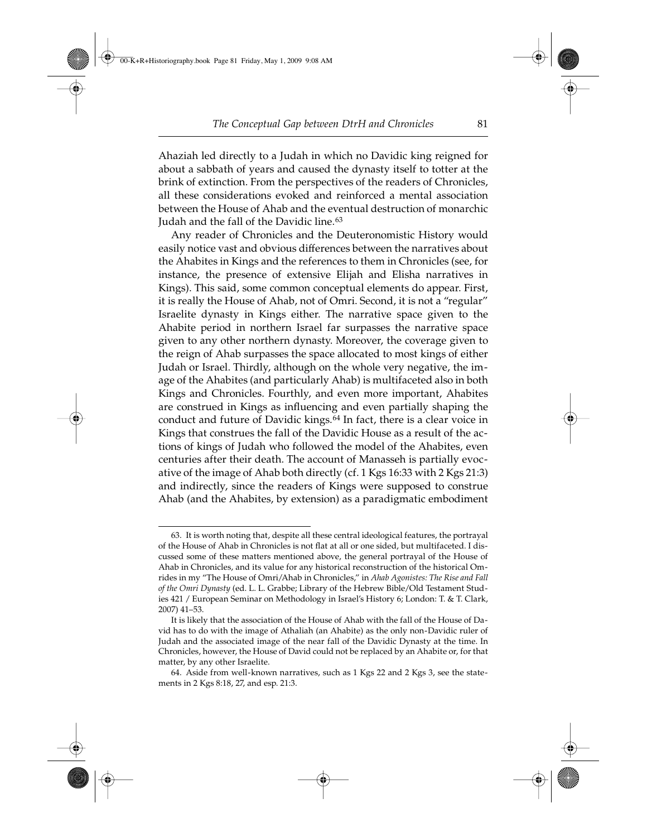Ahaziah led directly to a Judah in which no Davidic king reigned for about a sabbath of years and caused the dynasty itself to totter at the brink of extinction. From the perspectives of the readers of Chronicles, all these considerations evoked and reinforced a mental association between the House of Ahab and the eventual destruction of monarchic Judah and the fall of the Davidic line.<sup>63</sup>

Any reader of Chronicles and the Deuteronomistic History would easily notice vast and obvious differences between the narratives about the Ahabites in Kings and the references to them in Chronicles (see, for instance, the presence of extensive Elijah and Elisha narratives in Kings). This said, some common conceptual elements do appear. First, it is really the House of Ahab, not of Omri. Second, it is not a "regular" Israelite dynasty in Kings either. The narrative space given to the Ahabite period in northern Israel far surpasses the narrative space given to any other northern dynasty. Moreover, the coverage given to the reign of Ahab surpasses the space allocated to most kings of either Judah or Israel. Thirdly, although on the whole very negative, the image of the Ahabites (and particularly Ahab) is multifaceted also in both Kings and Chronicles. Fourthly, and even more important, Ahabites are construed in Kings as influencing and even partially shaping the conduct and future of Davidic kings.<sup>64</sup> In fact, there is a clear voice in Kings that construes the fall of the Davidic House as a result of the actions of kings of Judah who followed the model of the Ahabites, even centuries after their death. The account of Manasseh is partially evocative of the image of Ahab both directly (cf. 1 Kgs 16:33 with 2 Kgs 21:3) and indirectly, since the readers of Kings were supposed to construe Ahab (and the Ahabites, by extension) as a paradigmatic embodiment

<sup>63.</sup> It is worth noting that, despite all these central ideological features, the portrayal of the House of Ahab in Chronicles is not flat at all or one sided, but multifaceted. I discussed some of these matters mentioned above, the general portrayal of the House of Ahab in Chronicles, and its value for any historical reconstruction of the historical Omrides in my "The House of Omri/Ahab in Chronicles," in *Ahab Agonistes: The Rise and Fall of the Omri Dynasty* (ed. L. L. Grabbe; Library of the Hebrew Bible/Old Testament Studies 421 / European Seminar on Methodology in Israel's History 6; London: T. & T. Clark, 2007) 41–53.

It is likely that the association of the House of Ahab with the fall of the House of David has to do with the image of Athaliah (an Ahabite) as the only non-Davidic ruler of Judah and the associated image of the near fall of the Davidic Dynasty at the time. In Chronicles, however, the House of David could not be replaced by an Ahabite or, for that matter, by any other Israelite.

<sup>64.</sup> Aside from well-known narratives, such as 1 Kgs 22 and 2 Kgs 3, see the statements in 2 Kgs 8:18, 27, and esp. 21:3.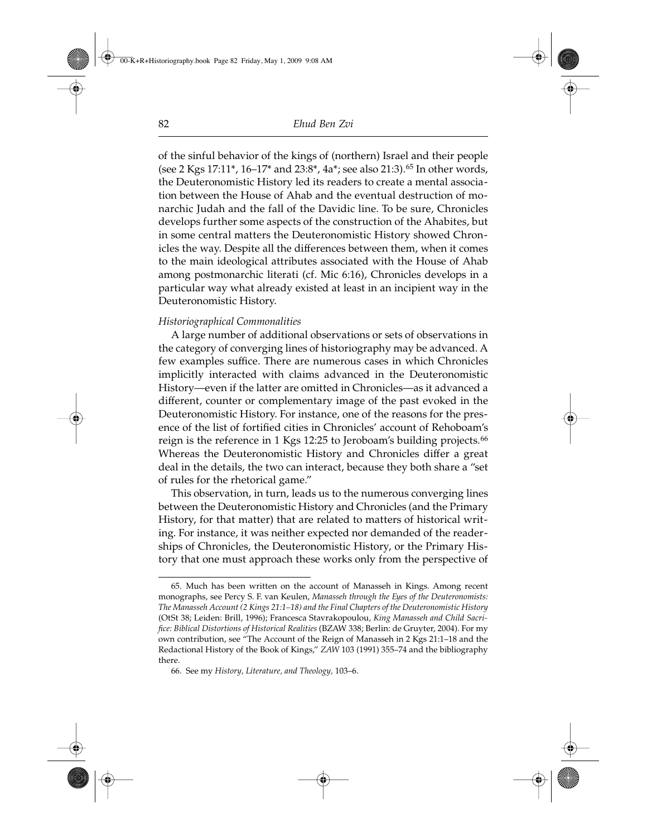of the sinful behavior of the kings of (northern) Israel and their people (see 2 Kgs 17:11\*, 16–17\* and 23:8\*, 4a\*; see also 21:3).65 In other words, the Deuteronomistic History led its readers to create a mental association between the House of Ahab and the eventual destruction of monarchic Judah and the fall of the Davidic line. To be sure, Chronicles develops further some aspects of the construction of the Ahabites, but in some central matters the Deuteronomistic History showed Chronicles the way. Despite all the differences between them, when it comes to the main ideological attributes associated with the House of Ahab among postmonarchic literati (cf. Mic 6:16), Chronicles develops in a particular way what already existed at least in an incipient way in the Deuteronomistic History.

#### *Historiographical Commonalities*

A large number of additional observations or sets of observations in the category of converging lines of historiography may be advanced. A few examples suffice. There are numerous cases in which Chronicles implicitly interacted with claims advanced in the Deuteronomistic History—even if the latter are omitted in Chronicles—as it advanced a different, counter or complementary image of the past evoked in the Deuteronomistic History. For instance, one of the reasons for the presence of the list of fortified cities in Chronicles' account of Rehoboam's reign is the reference in 1 Kgs 12:25 to Jeroboam's building projects.<sup>66</sup> Whereas the Deuteronomistic History and Chronicles differ a great deal in the details, the two can interact, because they both share a "set of rules for the rhetorical game."

This observation, in turn, leads us to the numerous converging lines between the Deuteronomistic History and Chronicles (and the Primary History, for that matter) that are related to matters of historical writing. For instance, it was neither expected nor demanded of the readerships of Chronicles, the Deuteronomistic History, or the Primary History that one must approach these works only from the perspective of

<sup>65.</sup> Much has been written on the account of Manasseh in Kings. Among recent monographs, see Percy S. F. van Keulen, *Manasseh through the Eyes of the Deuteronomists: The Manasseh Account (2 Kings 21:1–18) and the Final Chapters of the Deuteronomistic History* (OtSt 38; Leiden: Brill, 1996); Francesca Stavrakopoulou, *King Manasseh and Child Sacrifice: Biblical Distortions of Historical Realities* (BZAW 338; Berlin: de Gruyter, 2004). For my own contribution, see "The Account of the Reign of Manasseh in 2 Kgs 21:1–18 and the Redactional History of the Book of Kings," *ZAW* 103 (1991) 355–74 and the bibliography there.

<sup>66.</sup> See my *History, Literature, and Theology,* 103–6.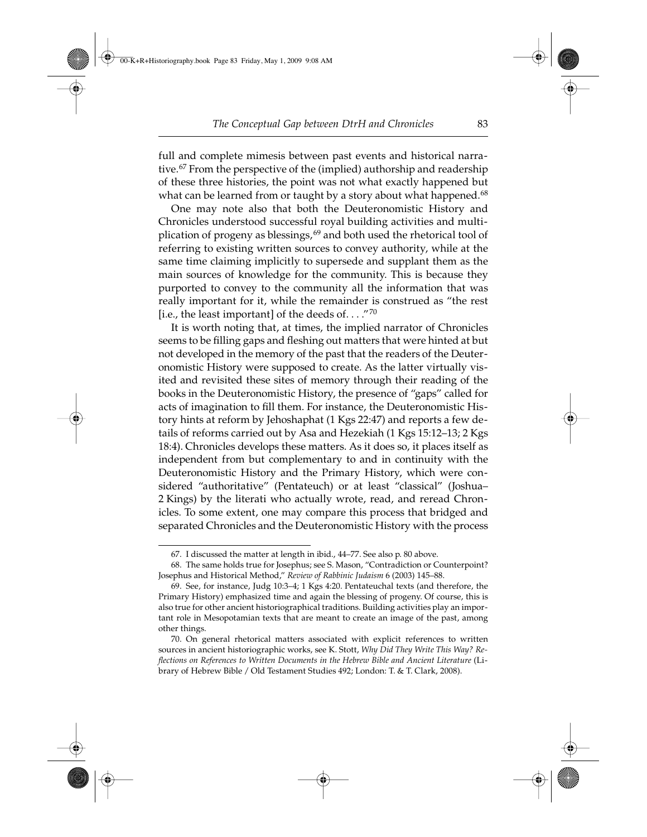full and complete mimesis between past events and historical narrative.<sup>67</sup> From the perspective of the (implied) authorship and readership of these three histories, the point was not what exactly happened but what can be learned from or taught by a story about what happened.<sup>68</sup>

One may note also that both the Deuteronomistic History and Chronicles understood successful royal building activities and multiplication of progeny as blessings,<sup>69</sup> and both used the rhetorical tool of referring to existing written sources to convey authority, while at the same time claiming implicitly to supersede and supplant them as the main sources of knowledge for the community. This is because they purported to convey to the community all the information that was really important for it, while the remainder is construed as "the rest [i.e., the least important] of the deeds of...."<sup>70</sup>

It is worth noting that, at times, the implied narrator of Chronicles seems to be filling gaps and fleshing out matters that were hinted at but not developed in the memory of the past that the readers of the Deuteronomistic History were supposed to create. As the latter virtually visited and revisited these sites of memory through their reading of the books in the Deuteronomistic History, the presence of "gaps" called for acts of imagination to fill them. For instance, the Deuteronomistic History hints at reform by Jehoshaphat (1 Kgs 22:47) and reports a few details of reforms carried out by Asa and Hezekiah (1 Kgs 15:12–13; 2 Kgs 18:4). Chronicles develops these matters. As it does so, it places itself as independent from but complementary to and in continuity with the Deuteronomistic History and the Primary History, which were considered "authoritative" (Pentateuch) or at least "classical" (Joshua– 2 Kings) by the literati who actually wrote, read, and reread Chronicles. To some extent, one may compare this process that bridged and separated Chronicles and the Deuteronomistic History with the process

<sup>67.</sup> I discussed the matter at length in ibid., 44–77. See also p. 80 above.

<sup>68.</sup> The same holds true for Josephus; see S. Mason, "Contradiction or Counterpoint? Josephus and Historical Method," *Review of Rabbinic Judaism* 6 (2003) 145–88.

<sup>69.</sup> See, for instance, Judg 10:3–4; 1 Kgs 4:20. Pentateuchal texts (and therefore, the Primary History) emphasized time and again the blessing of progeny. Of course, this is also true for other ancient historiographical traditions. Building activities play an important role in Mesopotamian texts that are meant to create an image of the past, among other things.

<sup>70.</sup> On general rhetorical matters associated with explicit references to written sources in ancient historiographic works, see K. Stott, *Why Did They Write This Way? Reflections on References to Written Documents in the Hebrew Bible and Ancient Literature* (Library of Hebrew Bible / Old Testament Studies 492; London: T. & T. Clark, 2008).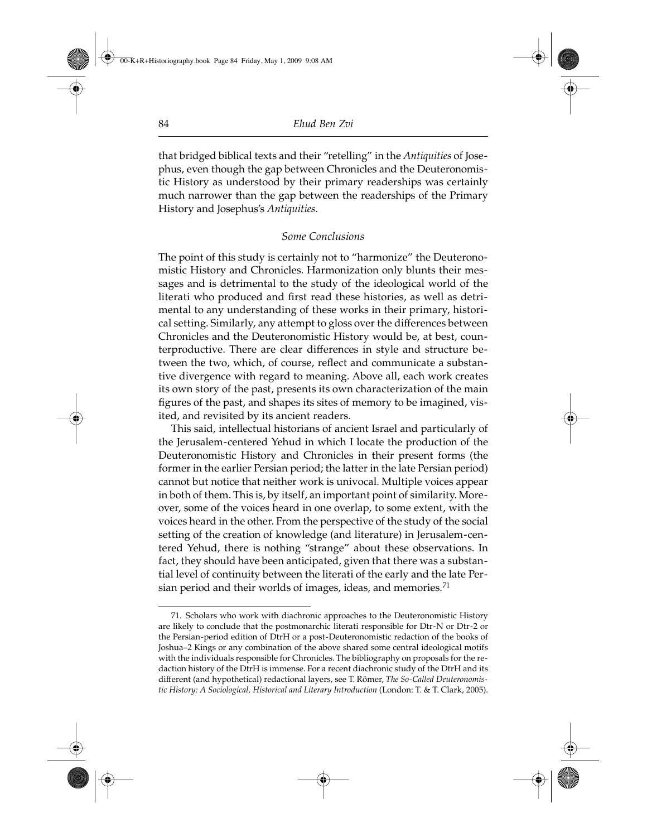that bridged biblical texts and their "retelling" in the *Antiquities* of Josephus, even though the gap between Chronicles and the Deuteronomistic History as understood by their primary readerships was certainly much narrower than the gap between the readerships of the Primary History and Josephus's *Antiquities*.

### *Some Conclusions*

The point of this study is certainly not to "harmonize" the Deuteronomistic History and Chronicles. Harmonization only blunts their messages and is detrimental to the study of the ideological world of the literati who produced and first read these histories, as well as detrimental to any understanding of these works in their primary, historical setting. Similarly, any attempt to gloss over the differences between Chronicles and the Deuteronomistic History would be, at best, counterproductive. There are clear differences in style and structure between the two, which, of course, reflect and communicate a substantive divergence with regard to meaning. Above all, each work creates its own story of the past, presents its own characterization of the main figures of the past, and shapes its sites of memory to be imagined, visited, and revisited by its ancient readers.

This said, intellectual historians of ancient Israel and particularly of the Jerusalem-centered Yehud in which I locate the production of the Deuteronomistic History and Chronicles in their present forms (the former in the earlier Persian period; the latter in the late Persian period) cannot but notice that neither work is univocal. Multiple voices appear in both of them. This is, by itself, an important point of similarity. Moreover, some of the voices heard in one overlap, to some extent, with the voices heard in the other. From the perspective of the study of the social setting of the creation of knowledge (and literature) in Jerusalem-centered Yehud, there is nothing "strange" about these observations. In fact, they should have been anticipated, given that there was a substantial level of continuity between the literati of the early and the late Persian period and their worlds of images, ideas, and memories.<sup>71</sup>

<sup>71.</sup> Scholars who work with diachronic approaches to the Deuteronomistic History are likely to conclude that the postmonarchic literati responsible for Dtr-N or Dtr-2 or the Persian-period edition of DtrH or a post-Deuteronomistic redaction of the books of Joshua–2 Kings or any combination of the above shared some central ideological motifs with the individuals responsible for Chronicles. The bibliography on proposals for the redaction history of the DtrH is immense. For a recent diachronic study of the DtrH and its different (and hypothetical) redactional layers, see T. Römer, *The So-Called Deuteronomistic History: A Sociological, Historical and Literary Introduction* (London: T. & T. Clark, 2005).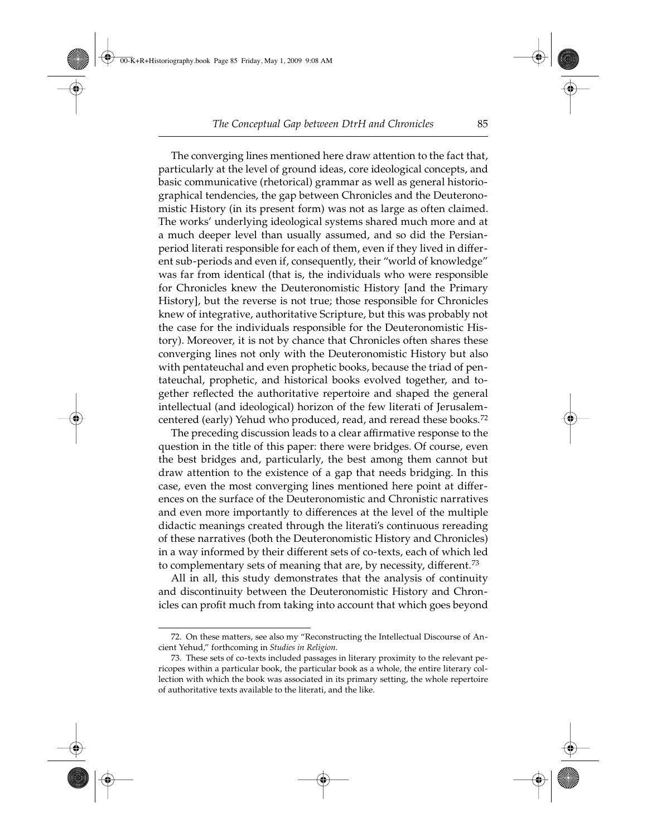The converging lines mentioned here draw attention to the fact that, particularly at the level of ground ideas, core ideological concepts, and basic communicative (rhetorical) grammar as well as general historiographical tendencies, the gap between Chronicles and the Deuteronomistic History (in its present form) was not as large as often claimed. The works' underlying ideological systems shared much more and at a much deeper level than usually assumed, and so did the Persianperiod literati responsible for each of them, even if they lived in different sub-periods and even if, consequently, their "world of knowledge" was far from identical (that is, the individuals who were responsible for Chronicles knew the Deuteronomistic History [and the Primary History], but the reverse is not true; those responsible for Chronicles knew of integrative, authoritative Scripture, but this was probably not the case for the individuals responsible for the Deuteronomistic History). Moreover, it is not by chance that Chronicles often shares these converging lines not only with the Deuteronomistic History but also with pentateuchal and even prophetic books, because the triad of pentateuchal, prophetic, and historical books evolved together, and together reflected the authoritative repertoire and shaped the general intellectual (and ideological) horizon of the few literati of Jerusalemcentered (early) Yehud who produced, read, and reread these books.72

The preceding discussion leads to a clear affirmative response to the question in the title of this paper: there were bridges. Of course, even the best bridges and, particularly, the best among them cannot but draw attention to the existence of a gap that needs bridging. In this case, even the most converging lines mentioned here point at differences on the surface of the Deuteronomistic and Chronistic narratives and even more importantly to differences at the level of the multiple didactic meanings created through the literati's continuous rereading of these narratives (both the Deuteronomistic History and Chronicles) in a way informed by their different sets of co-texts, each of which led to complementary sets of meaning that are, by necessity, different.<sup>73</sup>

All in all, this study demonstrates that the analysis of continuity and discontinuity between the Deuteronomistic History and Chronicles can profit much from taking into account that which goes beyond

<sup>72.</sup> On these matters, see also my "Reconstructing the Intellectual Discourse of Ancient Yehud," forthcoming in *Studies in Religion.*

<sup>73.</sup> These sets of co-texts included passages in literary proximity to the relevant pericopes within a particular book, the particular book as a whole, the entire literary collection with which the book was associated in its primary setting, the whole repertoire of authoritative texts available to the literati, and the like.